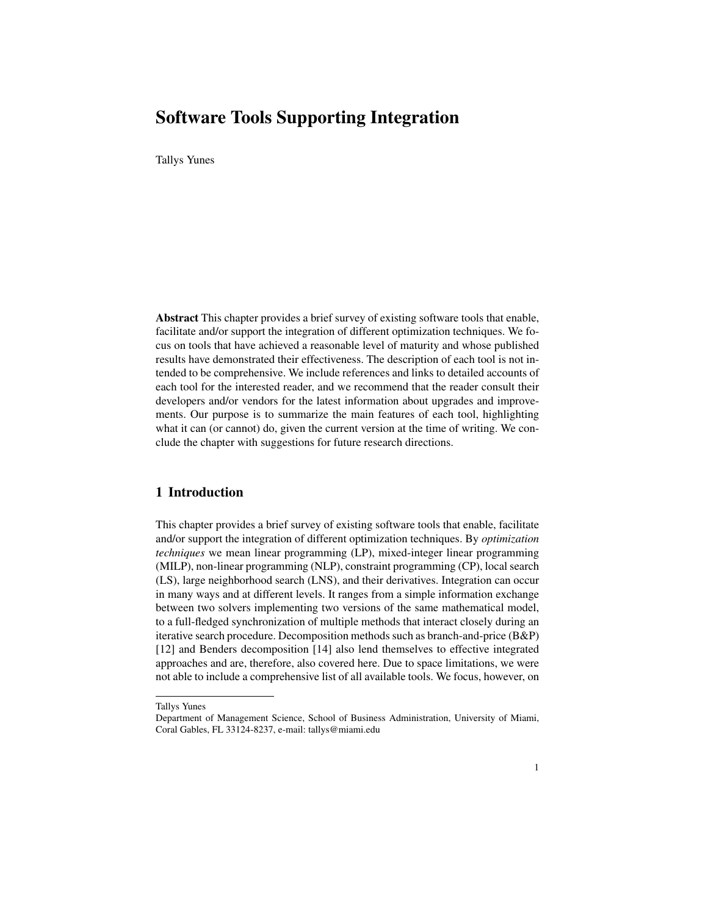Tallys Yunes

Abstract This chapter provides a brief survey of existing software tools that enable, facilitate and/or support the integration of different optimization techniques. We focus on tools that have achieved a reasonable level of maturity and whose published results have demonstrated their effectiveness. The description of each tool is not intended to be comprehensive. We include references and links to detailed accounts of each tool for the interested reader, and we recommend that the reader consult their developers and/or vendors for the latest information about upgrades and improvements. Our purpose is to summarize the main features of each tool, highlighting what it can (or cannot) do, given the current version at the time of writing. We conclude the chapter with suggestions for future research directions.

# 1 Introduction

This chapter provides a brief survey of existing software tools that enable, facilitate and/or support the integration of different optimization techniques. By *optimization techniques* we mean linear programming (LP), mixed-integer linear programming (MILP), non-linear programming (NLP), constraint programming (CP), local search (LS), large neighborhood search (LNS), and their derivatives. Integration can occur in many ways and at different levels. It ranges from a simple information exchange between two solvers implementing two versions of the same mathematical model, to a full-fledged synchronization of multiple methods that interact closely during an iterative search procedure. Decomposition methods such as branch-and-price (B&P) [12] and Benders decomposition [14] also lend themselves to effective integrated approaches and are, therefore, also covered here. Due to space limitations, we were not able to include a comprehensive list of all available tools. We focus, however, on

Tallys Yunes

Department of Management Science, School of Business Administration, University of Miami, Coral Gables, FL 33124-8237, e-mail: tallys@miami.edu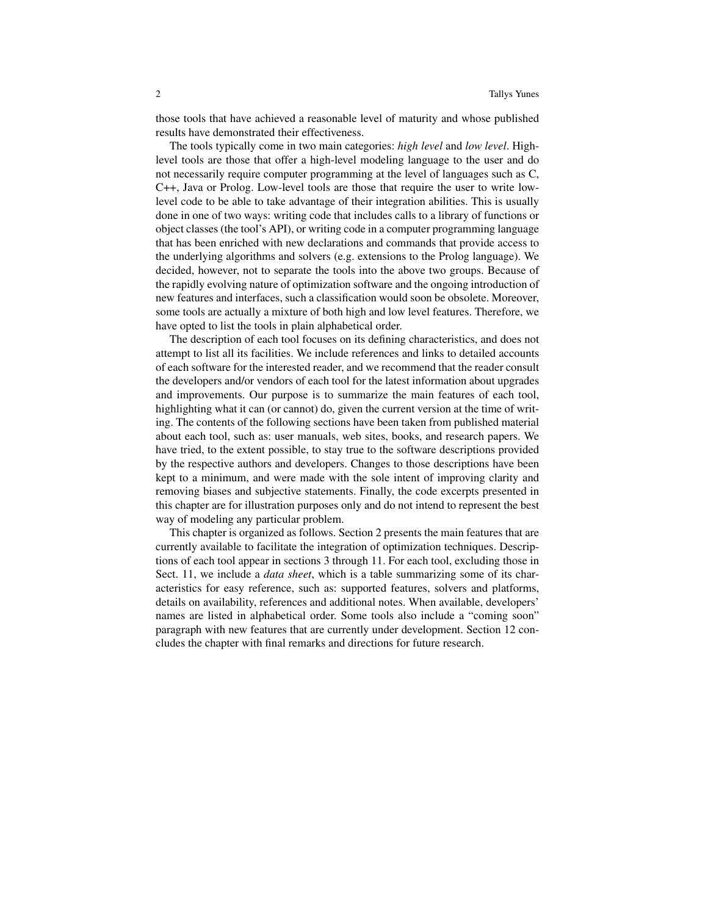those tools that have achieved a reasonable level of maturity and whose published results have demonstrated their effectiveness.

The tools typically come in two main categories: *high level* and *low level*. Highlevel tools are those that offer a high-level modeling language to the user and do not necessarily require computer programming at the level of languages such as C, C++, Java or Prolog. Low-level tools are those that require the user to write lowlevel code to be able to take advantage of their integration abilities. This is usually done in one of two ways: writing code that includes calls to a library of functions or object classes (the tool's API), or writing code in a computer programming language that has been enriched with new declarations and commands that provide access to the underlying algorithms and solvers (e.g. extensions to the Prolog language). We decided, however, not to separate the tools into the above two groups. Because of the rapidly evolving nature of optimization software and the ongoing introduction of new features and interfaces, such a classification would soon be obsolete. Moreover, some tools are actually a mixture of both high and low level features. Therefore, we have opted to list the tools in plain alphabetical order.

The description of each tool focuses on its defining characteristics, and does not attempt to list all its facilities. We include references and links to detailed accounts of each software for the interested reader, and we recommend that the reader consult the developers and/or vendors of each tool for the latest information about upgrades and improvements. Our purpose is to summarize the main features of each tool, highlighting what it can (or cannot) do, given the current version at the time of writing. The contents of the following sections have been taken from published material about each tool, such as: user manuals, web sites, books, and research papers. We have tried, to the extent possible, to stay true to the software descriptions provided by the respective authors and developers. Changes to those descriptions have been kept to a minimum, and were made with the sole intent of improving clarity and removing biases and subjective statements. Finally, the code excerpts presented in this chapter are for illustration purposes only and do not intend to represent the best way of modeling any particular problem.

This chapter is organized as follows. Section 2 presents the main features that are currently available to facilitate the integration of optimization techniques. Descriptions of each tool appear in sections 3 through 11. For each tool, excluding those in Sect. 11, we include a *data sheet*, which is a table summarizing some of its characteristics for easy reference, such as: supported features, solvers and platforms, details on availability, references and additional notes. When available, developers' names are listed in alphabetical order. Some tools also include a "coming soon" paragraph with new features that are currently under development. Section 12 concludes the chapter with final remarks and directions for future research.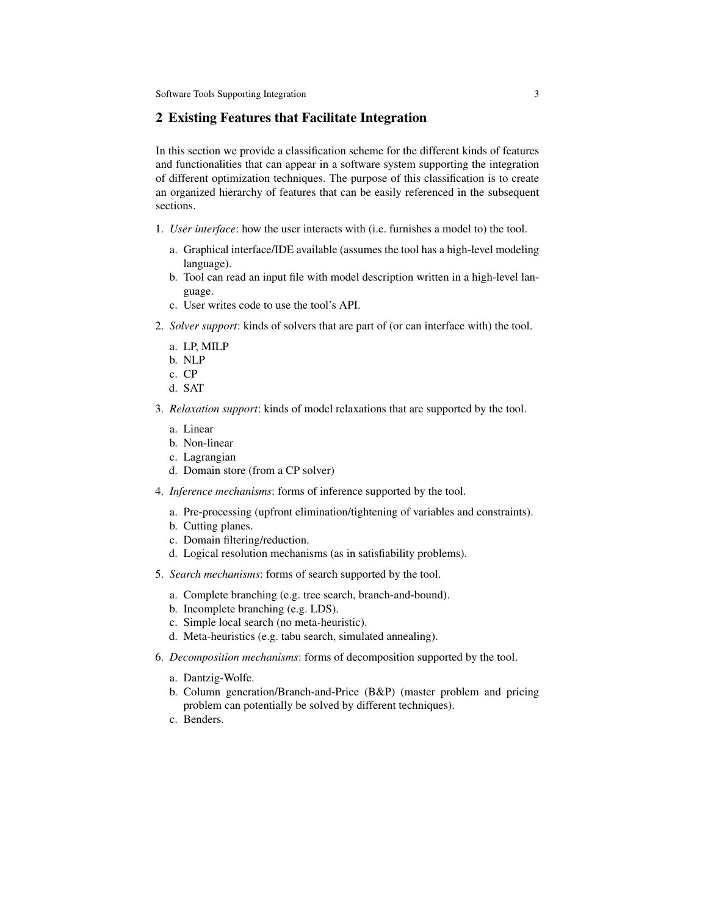## 2 Existing Features that Facilitate Integration

In this section we provide a classification scheme for the different kinds of features and functionalities that can appear in a software system supporting the integration of different optimization techniques. The purpose of this classification is to create an organized hierarchy of features that can be easily referenced in the subsequent sections.

- 1. *User interface*: how the user interacts with (i.e. furnishes a model to) the tool.
	- a. Graphical interface/IDE available (assumes the tool has a high-level modeling language).
	- b. Tool can read an input file with model description written in a high-level language.
	- c. User writes code to use the tool's API.
- 2. *Solver support*: kinds of solvers that are part of (or can interface with) the tool.
	- a. LP, MILP
	- b. NLP
	- c. CP
	- d. SAT
- 3. *Relaxation support*: kinds of model relaxations that are supported by the tool.
	- a. Linear
	- b. Non-linear
	- c. Lagrangian
	- d. Domain store (from a CP solver)
- 4. *Inference mechanisms*: forms of inference supported by the tool.
	- a. Pre-processing (upfront elimination/tightening of variables and constraints).
	- b. Cutting planes.
	- c. Domain filtering/reduction.
	- d. Logical resolution mechanisms (as in satisfiability problems).
- 5. *Search mechanisms*: forms of search supported by the tool.
	- a. Complete branching (e.g. tree search, branch-and-bound).
	- b. Incomplete branching (e.g. LDS).
	- c. Simple local search (no meta-heuristic).
	- d. Meta-heuristics (e.g. tabu search, simulated annealing).
- 6. *Decomposition mechanisms*: forms of decomposition supported by the tool.
	- a. Dantzig-Wolfe.
	- b. Column generation/Branch-and-Price (B&P) (master problem and pricing problem can potentially be solved by different techniques).
	- c. Benders.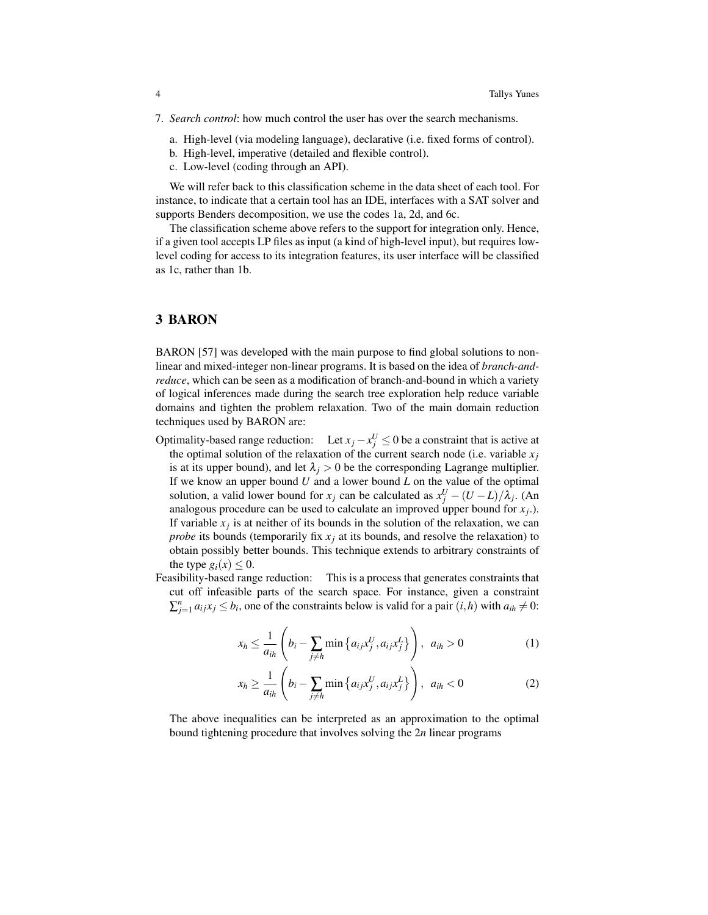- 7. *Search control*: how much control the user has over the search mechanisms.
	- a. High-level (via modeling language), declarative (i.e. fixed forms of control).
	- b. High-level, imperative (detailed and flexible control).
	- c. Low-level (coding through an API).

We will refer back to this classification scheme in the data sheet of each tool. For instance, to indicate that a certain tool has an IDE, interfaces with a SAT solver and supports Benders decomposition, we use the codes 1a, 2d, and 6c.

The classification scheme above refers to the support for integration only. Hence, if a given tool accepts LP files as input (a kind of high-level input), but requires lowlevel coding for access to its integration features, its user interface will be classified as 1c, rather than 1b.

### 3 BARON

BARON [57] was developed with the main purpose to find global solutions to nonlinear and mixed-integer non-linear programs. It is based on the idea of *branch-andreduce*, which can be seen as a modification of branch-and-bound in which a variety of logical inferences made during the search tree exploration help reduce variable domains and tighten the problem relaxation. Two of the main domain reduction techniques used by BARON are:

- Optimality-based range reduction: Let  $x_j x_j^U \le 0$  be a constraint that is active at the optimal solution of the relaxation of the current search node (i.e. variable  $x_j$ is at its upper bound), and let  $\lambda_j > 0$  be the corresponding Lagrange multiplier. If we know an upper bound *U* and a lower bound *L* on the value of the optimal solution, a valid lower bound for  $x_j$  can be calculated as  $x_j^U - (U - L)/\lambda_j$ . (An analogous procedure can be used to calculate an improved upper bound for  $x_j$ .). If variable  $x_j$  is at neither of its bounds in the solution of the relaxation, we can *probe* its bounds (temporarily fix  $x_j$  at its bounds, and resolve the relaxation) to obtain possibly better bounds. This technique extends to arbitrary constraints of the type  $g_i(x) \leq 0$ .
- Feasibility-based range reduction: This is a process that generates constraints that cut off infeasible parts of the search space. For instance, given a constraint  $\sum_{j=1}^{n} a_{ij}x_j \leq b_i$ , one of the constraints below is valid for a pair  $(i,h)$  with  $a_{ih} \neq 0$ :

$$
x_h \le \frac{1}{a_{ih}} \left( b_i - \sum_{j \ne h} \min \left\{ a_{ij} x_j^U, a_{ij} x_j^L \right\} \right), \ a_{ih} > 0 \tag{1}
$$

$$
x_h \ge \frac{1}{a_{ih}} \left( b_i - \sum_{j \ne h} \min \left\{ a_{ij} x_j^U, a_{ij} x_j^L \right\} \right), \ a_{ih} < 0 \tag{2}
$$

The above inequalities can be interpreted as an approximation to the optimal bound tightening procedure that involves solving the 2*n* linear programs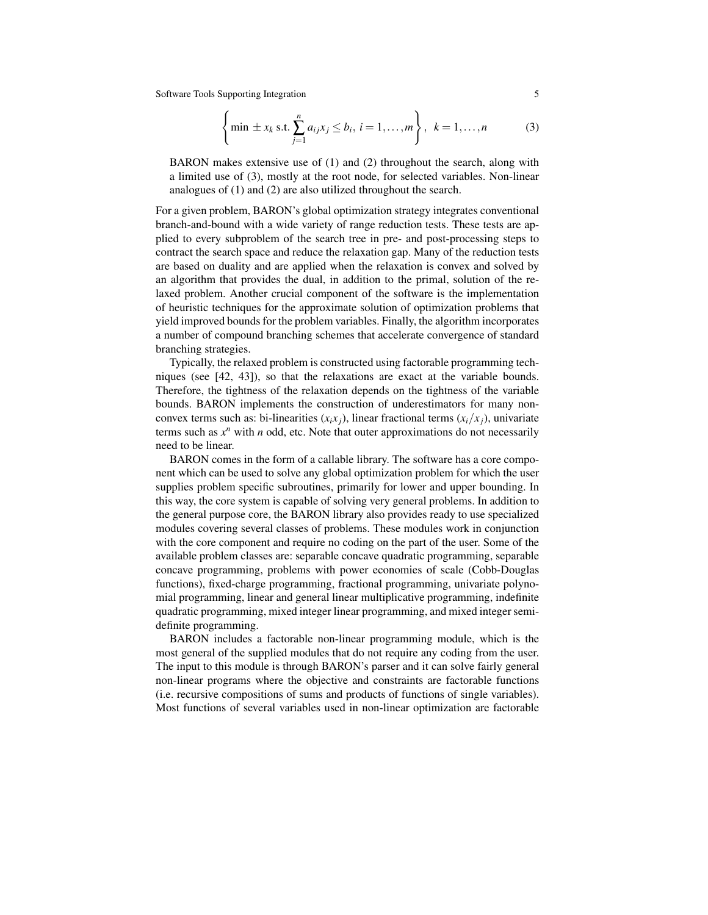$$
\left\{\min \pm x_k \text{ s.t. } \sum_{j=1}^n a_{ij} x_j \le b_i, i = 1, ..., m\right\}, k = 1, ..., n \tag{3}
$$

BARON makes extensive use of (1) and (2) throughout the search, along with a limited use of (3), mostly at the root node, for selected variables. Non-linear analogues of (1) and (2) are also utilized throughout the search.

For a given problem, BARON's global optimization strategy integrates conventional branch-and-bound with a wide variety of range reduction tests. These tests are applied to every subproblem of the search tree in pre- and post-processing steps to contract the search space and reduce the relaxation gap. Many of the reduction tests are based on duality and are applied when the relaxation is convex and solved by an algorithm that provides the dual, in addition to the primal, solution of the relaxed problem. Another crucial component of the software is the implementation of heuristic techniques for the approximate solution of optimization problems that yield improved bounds for the problem variables. Finally, the algorithm incorporates a number of compound branching schemes that accelerate convergence of standard branching strategies.

Typically, the relaxed problem is constructed using factorable programming techniques (see [42, 43]), so that the relaxations are exact at the variable bounds. Therefore, the tightness of the relaxation depends on the tightness of the variable bounds. BARON implements the construction of underestimators for many nonconvex terms such as: bi-linearities  $(x_i x_j)$ , linear fractional terms  $(x_i/x_j)$ , univariate terms such as  $x^n$  with  $n$  odd, etc. Note that outer approximations do not necessarily need to be linear.

BARON comes in the form of a callable library. The software has a core component which can be used to solve any global optimization problem for which the user supplies problem specific subroutines, primarily for lower and upper bounding. In this way, the core system is capable of solving very general problems. In addition to the general purpose core, the BARON library also provides ready to use specialized modules covering several classes of problems. These modules work in conjunction with the core component and require no coding on the part of the user. Some of the available problem classes are: separable concave quadratic programming, separable concave programming, problems with power economies of scale (Cobb-Douglas functions), fixed-charge programming, fractional programming, univariate polynomial programming, linear and general linear multiplicative programming, indefinite quadratic programming, mixed integer linear programming, and mixed integer semidefinite programming.

BARON includes a factorable non-linear programming module, which is the most general of the supplied modules that do not require any coding from the user. The input to this module is through BARON's parser and it can solve fairly general non-linear programs where the objective and constraints are factorable functions (i.e. recursive compositions of sums and products of functions of single variables). Most functions of several variables used in non-linear optimization are factorable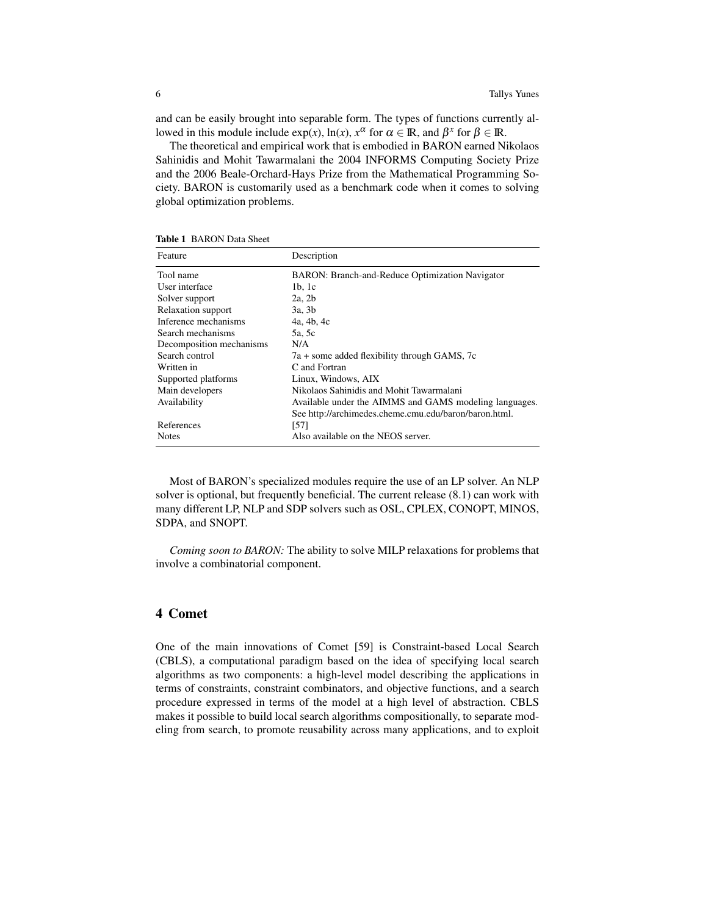and can be easily brought into separable form. The types of functions currently allowed in this module include  $exp(x)$ ,  $ln(x)$ ,  $x^{\alpha}$  for  $\alpha \in \mathbb{R}$ , and  $\beta^x$  for  $\beta \in \mathbb{R}$ .

The theoretical and empirical work that is embodied in BARON earned Nikolaos Sahinidis and Mohit Tawarmalani the 2004 INFORMS Computing Society Prize and the 2006 Beale-Orchard-Hays Prize from the Mathematical Programming Society. BARON is customarily used as a benchmark code when it comes to solving global optimization problems.

| Feature                   | Description                                            |
|---------------------------|--------------------------------------------------------|
| Tool name                 | BARON: Branch-and-Reduce Optimization Navigator        |
| User interface            | $1b$ , $1c$                                            |
| Solver support            | $2a$ , $2b$                                            |
| <b>Relaxation</b> support | $3a$ , $3b$                                            |
| Inference mechanisms      | 4a, 4b, 4c                                             |
| Search mechanisms         | 5a. 5c                                                 |
| Decomposition mechanisms  | N/A                                                    |
| Search control            | 7a + some added flexibility through GAMS, 7c           |
| Written in                | C and Fortran                                          |
| Supported platforms       | Linux, Windows, AIX                                    |
| Main developers           | Nikolaos Sahinidis and Mohit Tawarmalani               |
| Availability              | Available under the AIMMS and GAMS modeling languages. |
|                           | See http://archimedes.cheme.cmu.edu/baron/baron.html.  |
| References                | [57]                                                   |
| <b>Notes</b>              | Also available on the NEOS server.                     |

Table 1 BARON Data Sheet

Most of BARON's specialized modules require the use of an LP solver. An NLP solver is optional, but frequently beneficial. The current release (8.1) can work with many different LP, NLP and SDP solvers such as OSL, CPLEX, CONOPT, MINOS, SDPA, and SNOPT.

*Coming soon to BARON:* The ability to solve MILP relaxations for problems that involve a combinatorial component.

#### 4 Comet

One of the main innovations of Comet [59] is Constraint-based Local Search (CBLS), a computational paradigm based on the idea of specifying local search algorithms as two components: a high-level model describing the applications in terms of constraints, constraint combinators, and objective functions, and a search procedure expressed in terms of the model at a high level of abstraction. CBLS makes it possible to build local search algorithms compositionally, to separate modeling from search, to promote reusability across many applications, and to exploit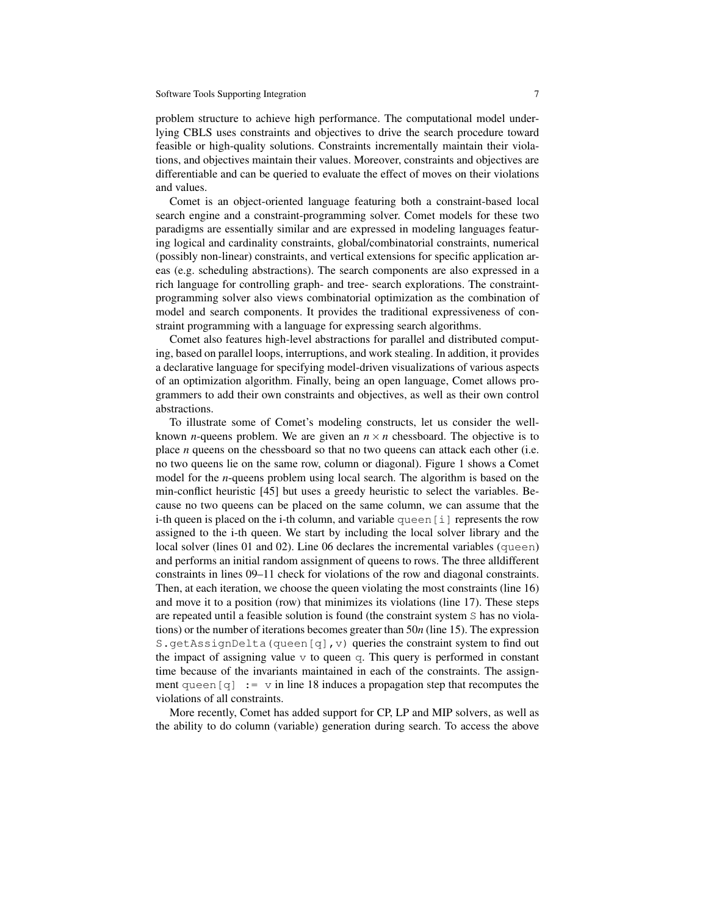problem structure to achieve high performance. The computational model underlying CBLS uses constraints and objectives to drive the search procedure toward feasible or high-quality solutions. Constraints incrementally maintain their violations, and objectives maintain their values. Moreover, constraints and objectives are differentiable and can be queried to evaluate the effect of moves on their violations and values.

Comet is an object-oriented language featuring both a constraint-based local search engine and a constraint-programming solver. Comet models for these two paradigms are essentially similar and are expressed in modeling languages featuring logical and cardinality constraints, global/combinatorial constraints, numerical (possibly non-linear) constraints, and vertical extensions for specific application areas (e.g. scheduling abstractions). The search components are also expressed in a rich language for controlling graph- and tree- search explorations. The constraintprogramming solver also views combinatorial optimization as the combination of model and search components. It provides the traditional expressiveness of constraint programming with a language for expressing search algorithms.

Comet also features high-level abstractions for parallel and distributed computing, based on parallel loops, interruptions, and work stealing. In addition, it provides a declarative language for specifying model-driven visualizations of various aspects of an optimization algorithm. Finally, being an open language, Comet allows programmers to add their own constraints and objectives, as well as their own control abstractions.

To illustrate some of Comet's modeling constructs, let us consider the wellknown *n*-queens problem. We are given an  $n \times n$  chessboard. The objective is to place *n* queens on the chessboard so that no two queens can attack each other (i.e. no two queens lie on the same row, column or diagonal). Figure 1 shows a Comet model for the *n*-queens problem using local search. The algorithm is based on the min-conflict heuristic [45] but uses a greedy heuristic to select the variables. Because no two queens can be placed on the same column, we can assume that the i-th queen is placed on the i-th column, and variable queen  $[i]$  represents the row assigned to the i-th queen. We start by including the local solver library and the local solver (lines 01 and 02). Line 06 declares the incremental variables (queen) and performs an initial random assignment of queens to rows. The three alldifferent constraints in lines 09–11 check for violations of the row and diagonal constraints. Then, at each iteration, we choose the queen violating the most constraints (line 16) and move it to a position (row) that minimizes its violations (line 17). These steps are repeated until a feasible solution is found (the constraint system S has no violations) or the number of iterations becomes greater than 50*n* (line 15). The expression S.getAssignDelta(queen[q], v) queries the constraint system to find out the impact of assigning value  $\nu$  to queen q. This query is performed in constant time because of the invariants maintained in each of the constraints. The assignment queen [q]  $\cdot$  = v in line 18 induces a propagation step that recomputes the violations of all constraints.

More recently, Comet has added support for CP, LP and MIP solvers, as well as the ability to do column (variable) generation during search. To access the above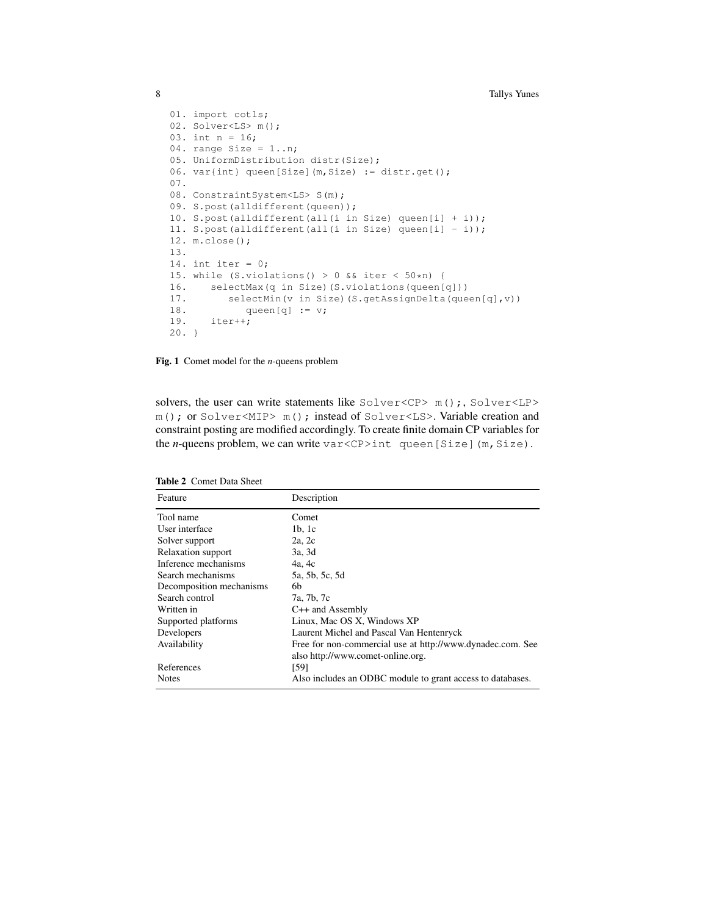```
8 Tallys Yunes
```

```
01. import cotls;
02. Solver<LS> m();
03. int n = 16;
04. range Size = 1..n;05. UniformDistribution distr(Size);
06. var{int} queen[Size](m, Size) := distr.get();
07.
08. ConstraintSystem<LS> S(m);
09. S.post(alldifferent(queen));
10. S.post(alldifferent(all(i in Size) queen[i] + i));
11. S.post(alldifferent(all(i in Size) queen[i] - i));
12. m.close();
13.
14. int iter = 0;15. while (S.violations() > 0 && iter < 50*n) {<br>16. selectMax(q in Size)(S.violations(queen[
       selectMax(q in Size)(S.violations(queen[q]))
17. selectMin(v in Size)(S.getAssignDelta(queen[q], v))
18. queen[q] := v;
19. iter++;
20. }
```
Fig. 1 Comet model for the *n*-queens problem

solvers, the user can write statements like  $Solve \r{cPP} \in \mathfrak{m}$  ();,  $Solve \r{cLP}$ m(); or Solver<MIP> m(); instead of Solver<LS>. Variable creation and constraint posting are modified accordingly. To create finite domain CP variables for the *n*-queens problem, we can write var<CP>int queen[Size](m, Size).

| Feature                   | Description                                                |
|---------------------------|------------------------------------------------------------|
| Tool name                 | Comet                                                      |
| User interface            | $1b$ , $1c$                                                |
| Solver support            | 2a, 2c                                                     |
| <b>Relaxation</b> support | 3a, 3d                                                     |
| Inference mechanisms      | 4a, 4c                                                     |
| Search mechanisms         | 5a, 5b, 5c, 5d                                             |
| Decomposition mechanisms  | 6b.                                                        |
| Search control            | 7a, 7b, 7c                                                 |
| Written in                | $C++$ and Assembly                                         |
| Supported platforms       | Linux, Mac OS X, Windows XP                                |
| Developers                | Laurent Michel and Pascal Van Hentenryck                   |
| Availability              | Free for non-commercial use at http://www.dynadec.com. See |
|                           | also http://www.comet-online.org.                          |
| References                | [59]                                                       |
| <b>Notes</b>              | Also includes an ODBC module to grant access to databases. |

Table 2 Comet Data Sheet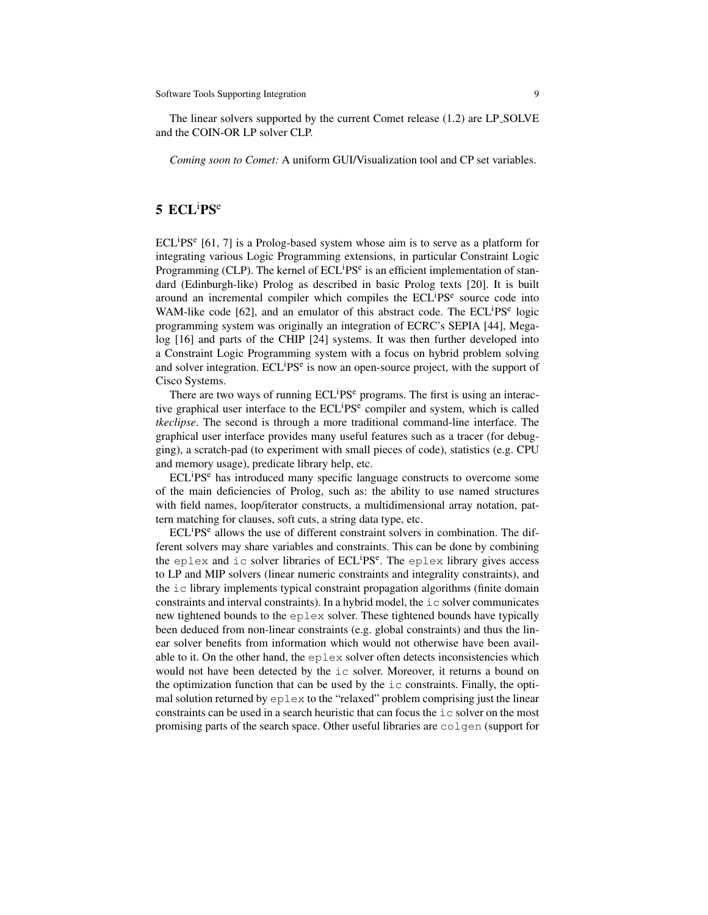The linear solvers supported by the current Comet release (1.2) are LP\_SOLVE and the COIN-OR LP solver CLP.

*Coming soon to Comet:* A uniform GUI/Visualization tool and CP set variables.

# 5 ECLiPS<sup>e</sup>

ECL<sup>i</sup>PS<sup>e</sup> [61, 7] is a Prolog-based system whose aim is to serve as a platform for integrating various Logic Programming extensions, in particular Constraint Logic Programming (CLP). The kernel of  $ECL$ <sup>i</sup>PS<sup>e</sup> is an efficient implementation of standard (Edinburgh-like) Prolog as described in basic Prolog texts [20]. It is built around an incremental compiler which compiles the ECL<sup>i</sup>PS<sup>e</sup> source code into WAM-like code [62], and an emulator of this abstract code. The ECL<sup>i</sup>PS<sup>e</sup> logic programming system was originally an integration of ECRC's SEPIA [44], Megalog [16] and parts of the CHIP [24] systems. It was then further developed into a Constraint Logic Programming system with a focus on hybrid problem solving and solver integration. ECL<sup>i</sup>PS<sup>e</sup> is now an open-source project, with the support of Cisco Systems.

There are two ways of running  $ECL^{i}PS^{e}$  programs. The first is using an interactive graphical user interface to the ECL<sup>i</sup>PS<sup>e</sup> compiler and system, which is called *tkeclipse*. The second is through a more traditional command-line interface. The graphical user interface provides many useful features such as a tracer (for debugging), a scratch-pad (to experiment with small pieces of code), statistics (e.g. CPU and memory usage), predicate library help, etc.

ECLiPS<sup>e</sup> has introduced many specific language constructs to overcome some of the main deficiencies of Prolog, such as: the ability to use named structures with field names, loop/iterator constructs, a multidimensional array notation, pattern matching for clauses, soft cuts, a string data type, etc.

ECL<sup>i</sup>PS<sup>e</sup> allows the use of different constraint solvers in combination. The different solvers may share variables and constraints. This can be done by combining the eplex and ic solver libraries of ECL<sup>i</sup>PS<sup>e</sup>. The eplex library gives access to LP and MIP solvers (linear numeric constraints and integrality constraints), and the ic library implements typical constraint propagation algorithms (finite domain constraints and interval constraints). In a hybrid model, the ic solver communicates new tightened bounds to the eplex solver. These tightened bounds have typically been deduced from non-linear constraints (e.g. global constraints) and thus the linear solver benefits from information which would not otherwise have been available to it. On the other hand, the  $eplex$  solver often detects inconsistencies which would not have been detected by the ic solver. Moreover, it returns a bound on the optimization function that can be used by the ic constraints. Finally, the optimal solution returned by eplex to the "relaxed" problem comprising just the linear constraints can be used in a search heuristic that can focus the  $\pm c$  solver on the most promising parts of the search space. Other useful libraries are colgen (support for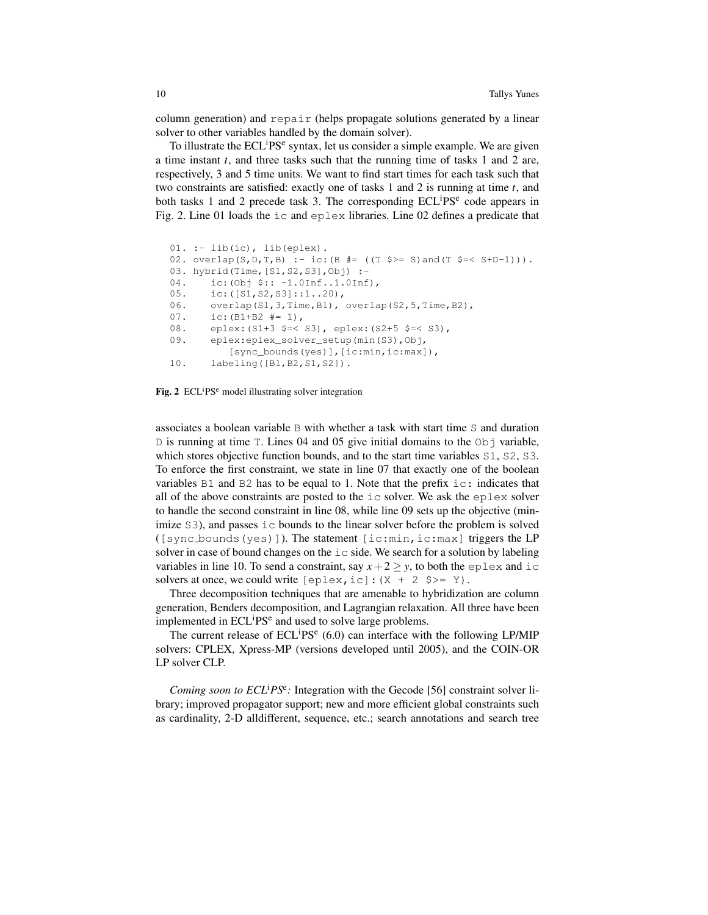column generation) and repair (helps propagate solutions generated by a linear solver to other variables handled by the domain solver).

To illustrate the ECL<sup>i</sup>PS<sup>e</sup> syntax, let us consider a simple example. We are given a time instant *t*, and three tasks such that the running time of tasks 1 and 2 are, respectively, 3 and 5 time units. We want to find start times for each task such that two constraints are satisfied: exactly one of tasks 1 and 2 is running at time *t*, and both tasks 1 and 2 precede task 3. The corresponding ECL<sup>i</sup>PS<sup>e</sup> code appears in Fig. 2. Line 01 loads the ic and eplex libraries. Line 02 defines a predicate that

```
01. :- lib(ic), lib(eplex).
02. overlap(S,D,T,B) :- ic:(B #= ((T $>= S)and(T $=< S+D-1))).
03. hybrid(Time,[S1,S2,S3],Obj) :-
04. ic: (Obj $:: -1.0Inf..1.0Inf),
05. ic:([S1,S2,S3]::1..20),
06. overlap(S1,3,Time,B1), overlap(S2,5,Time,B2),
07. ic: (B1+B2 \# = 1),
08. eplex:(S1+3 $=< S3), eplex:(S2+5 $=< S3),
09. eplex:eplex_solver_setup(min(S3),Obj,
         [sync_bounds(yes)], [ic:min, ic:max]),
10. labeling([B1,B2,S1,S2]).
```
Fig. 2 ECL<sup>i</sup>PS<sup>e</sup> model illustrating solver integration

associates a boolean variable B with whether a task with start time S and duration D is running at time T. Lines 04 and 05 give initial domains to the  $Ob\dot{\uparrow}$  variable, which stores objective function bounds, and to the start time variables S1, S2, S3. To enforce the first constraint, we state in line 07 that exactly one of the boolean variables  $B1$  and  $B2$  has to be equal to 1. Note that the prefix  $\text{ic}:$  indicates that all of the above constraints are posted to the  $\iota$  c solver. We ask the eplex solver to handle the second constraint in line 08, while line 09 sets up the objective (minimize S3), and passes ic bounds to the linear solver before the problem is solved ([sync bounds(yes)]). The statement [ic:min,ic:max] triggers the LP solver in case of bound changes on the ic side. We search for a solution by labeling variables in line 10. To send a constraint, say  $x+2 \ge y$ , to both the eplex and ic solvers at once, we could write  $[eplex, ic] : (X + 2 \, $>= Y)$ .

Three decomposition techniques that are amenable to hybridization are column generation, Benders decomposition, and Lagrangian relaxation. All three have been implemented in ECL<sup>i</sup>PS<sup>e</sup> and used to solve large problems.

The current release of  $ECL$ <sup>i</sup> $P\text{S}^e$  (6.0) can interface with the following LP/MIP solvers: CPLEX, Xpress-MP (versions developed until 2005), and the COIN-OR LP solver CLP.

*Coming soon to ECL*i*PS*<sup>e</sup> *:* Integration with the Gecode [56] constraint solver library; improved propagator support; new and more efficient global constraints such as cardinality, 2-D alldifferent, sequence, etc.; search annotations and search tree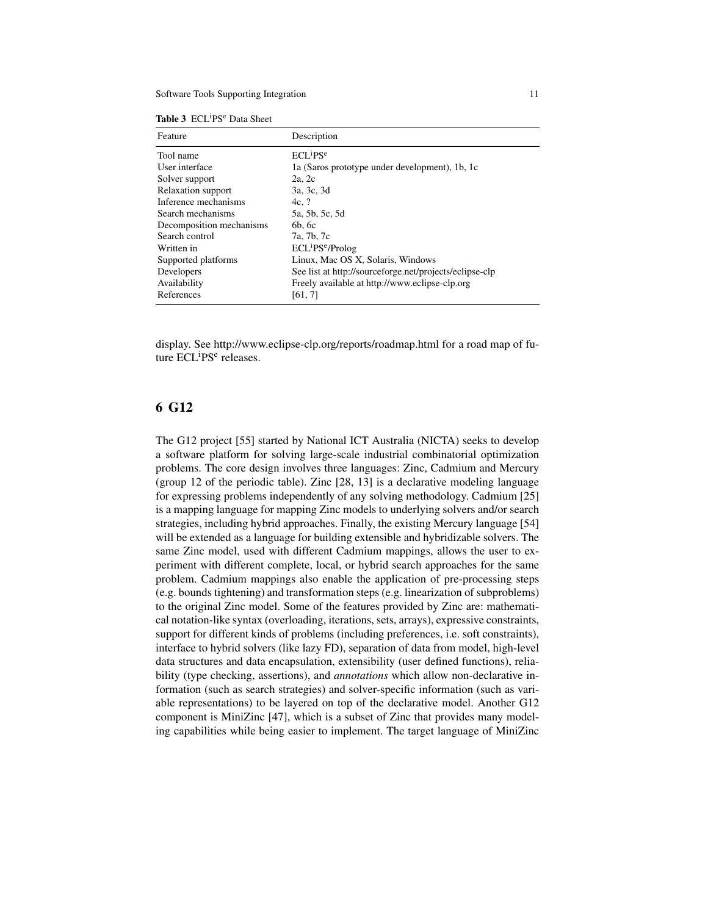Table 3 ECL<sup>i</sup>PS<sup>e</sup> Data Sheet

| Feature                   | Description                                             |
|---------------------------|---------------------------------------------------------|
| Tool name                 | $ECL$ <sup>i</sup> PS <sup>e</sup>                      |
| User interface            | 1a (Saros prototype under development), 1b, 1c          |
| Solver support            | 2a, 2c                                                  |
| <b>Relaxation</b> support | 3a, 3c, 3d                                              |
| Inference mechanisms      | 4c.?                                                    |
| Search mechanisms         | 5a, 5b, 5c, 5d                                          |
| Decomposition mechanisms  | 6b, 6c                                                  |
| Search control            | 7a, 7b, 7c                                              |
| Written in                | ECL <sup>i</sup> PS <sup>e</sup> /Prolog                |
| Supported platforms       | Linux, Mac OS X, Solaris, Windows                       |
| Developers                | See list at http://sourceforge.net/projects/eclipse-clp |
| Availability              | Freely available at http://www.eclipse-clp.org          |
| References                | [61, 7]                                                 |

display. See http://www.eclipse-clp.org/reports/roadmap.html for a road map of future ECL<sup>i</sup>PS<sup>e</sup> releases.

## 6 G12

The G12 project [55] started by National ICT Australia (NICTA) seeks to develop a software platform for solving large-scale industrial combinatorial optimization problems. The core design involves three languages: Zinc, Cadmium and Mercury (group 12 of the periodic table). Zinc [28, 13] is a declarative modeling language for expressing problems independently of any solving methodology. Cadmium [25] is a mapping language for mapping Zinc models to underlying solvers and/or search strategies, including hybrid approaches. Finally, the existing Mercury language [54] will be extended as a language for building extensible and hybridizable solvers. The same Zinc model, used with different Cadmium mappings, allows the user to experiment with different complete, local, or hybrid search approaches for the same problem. Cadmium mappings also enable the application of pre-processing steps (e.g. bounds tightening) and transformation steps (e.g. linearization of subproblems) to the original Zinc model. Some of the features provided by Zinc are: mathematical notation-like syntax (overloading, iterations, sets, arrays), expressive constraints, support for different kinds of problems (including preferences, i.e. soft constraints), interface to hybrid solvers (like lazy FD), separation of data from model, high-level data structures and data encapsulation, extensibility (user defined functions), reliability (type checking, assertions), and *annotations* which allow non-declarative information (such as search strategies) and solver-specific information (such as variable representations) to be layered on top of the declarative model. Another G12 component is MiniZinc [47], which is a subset of Zinc that provides many modeling capabilities while being easier to implement. The target language of MiniZinc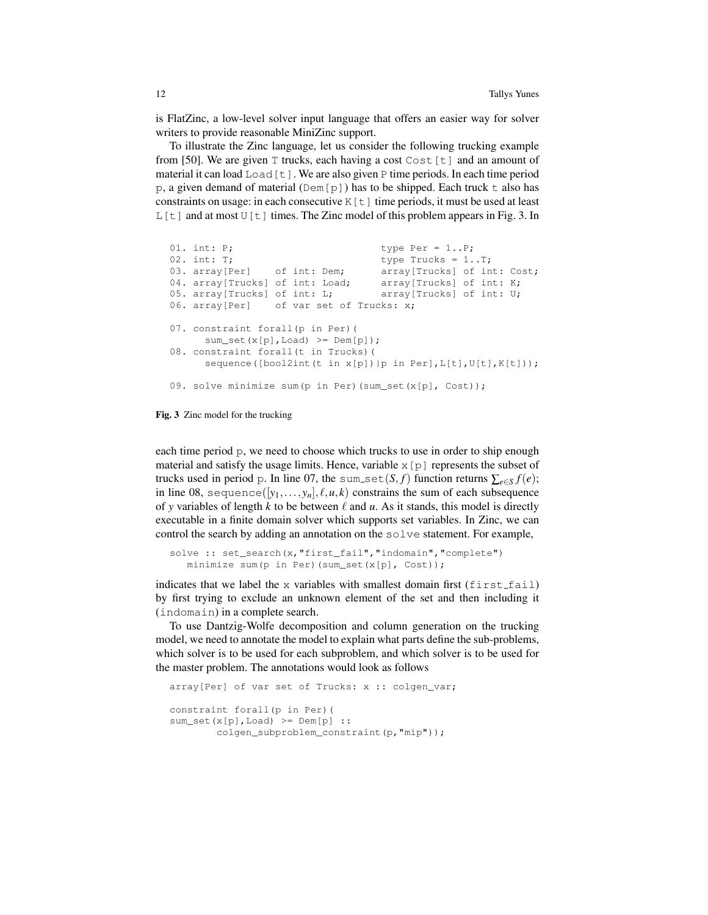is FlatZinc, a low-level solver input language that offers an easier way for solver writers to provide reasonable MiniZinc support.

To illustrate the Zinc language, let us consider the following trucking example from [50]. We are given T trucks, each having a cost  $Cost[t]$  and an amount of material it can load  $\text{Local}(\text{t})$ . We are also given P time periods. In each time period p, a given demand of material ( $Dem[p]$ ) has to be shipped. Each truck t also has constraints on usage: in each consecutive K[t] time periods, it must be used at least  $L[t]$  and at most  $U[t]$  times. The Zinc model of this problem appears in Fig. 3. In

```
01. int: P; type Per = 1..P;
02. int: T; type Trucks = 1..T;
03. array[Per] of int: Dem; array[Trucks] of int: Cost;
04. array[Trucks] of int: Load; array[Trucks] of int: K;
05. array[Trucks] of int: L; array[Trucks] of int: U;
06. array[Per] of var set of Trucks: x;
07. constraint forall(p in Per)(
     sum_set(x[p], Load) \geq Dem[p]);
08. constraint forall(t in Trucks)(
     sequence([bool2int(t in x[p])|p in Per],L[t],U[t],K[t]));
09. solve minimize sum (p in Per) (sum_set(x[p], Cost));
```
#### Fig. 3 Zinc model for the trucking

each time period p, we need to choose which trucks to use in order to ship enough material and satisfy the usage limits. Hence, variable  $x[p]$  represents the subset of trucks used in period p. In line 07, the sum\_set(*S*, *f*) function returns  $\sum_{e \in S} f(e)$ ; in line 08, sequence( $[y_1, \ldots, y_n], \ell, u, k$ ) constrains the sum of each subsequence of y variables of length *k* to be between  $\ell$  and  $u$ . As it stands, this model is directly executable in a finite domain solver which supports set variables. In Zinc, we can control the search by adding an annotation on the solve statement. For example,

```
solve :: set_search(x, "first_fail", "indomain", "complete")
  minimize sum(p in Per)(sum_set(x[p], Cost));
```
indicates that we label the x variables with smallest domain first  $(first\_fail)$ by first trying to exclude an unknown element of the set and then including it (indomain) in a complete search.

To use Dantzig-Wolfe decomposition and column generation on the trucking model, we need to annotate the model to explain what parts define the sub-problems, which solver is to be used for each subproblem, and which solver is to be used for the master problem. The annotations would look as follows

```
array[Per] of var set of Trucks: x :: colgen_var;
constraint forall(p in Per)(
sum_set(x[p], Load) \geq Dem[p]:
       colgen_subproblem_constraint(p,"mip"));
```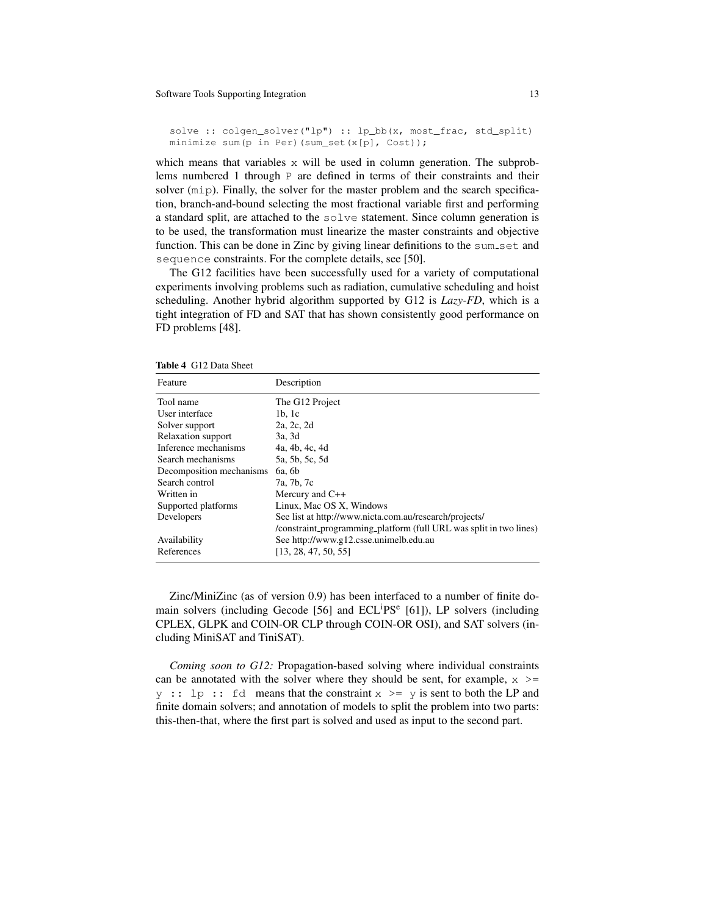```
solve :: colgen_solver("lp") :: lp_bb(x, most_frac, std_split)
minimize sum(p in Per)(sum_set(x[p], Cost));
```
which means that variables  $x$  will be used in column generation. The subproblems numbered 1 through  $P$  are defined in terms of their constraints and their solver (mip). Finally, the solver for the master problem and the search specification, branch-and-bound selecting the most fractional variable first and performing a standard split, are attached to the solve statement. Since column generation is to be used, the transformation must linearize the master constraints and objective function. This can be done in Zinc by giving linear definitions to the sum set and sequence constraints. For the complete details, see [50].

The G12 facilities have been successfully used for a variety of computational experiments involving problems such as radiation, cumulative scheduling and hoist scheduling. Another hybrid algorithm supported by G12 is *Lazy-FD*, which is a tight integration of FD and SAT that has shown consistently good performance on FD problems [48].

| Feature                   | Description                                                        |
|---------------------------|--------------------------------------------------------------------|
| Tool name                 | The G12 Project                                                    |
| User interface            | $1b$ , $1c$                                                        |
| Solver support            | 2a, 2c, 2d                                                         |
| <b>Relaxation</b> support | 3a. 3d                                                             |
| Inference mechanisms      | 4a, 4b, 4c, 4d                                                     |
| Search mechanisms         | 5a, 5b, 5c, 5d                                                     |
| Decomposition mechanisms  | 6a, 6b                                                             |
| Search control            | 7a, 7b, 7c                                                         |
| Written in                | Mercury and C++                                                    |
| Supported platforms       | Linux, Mac OS X, Windows                                           |
| Developers                | See list at http://www.nicta.com.au/research/projects/             |
|                           | /constraint_programming_platform (full URL was split in two lines) |
| Availability              | See http://www.g12.csse.unimelb.edu.au                             |
| References                | [13, 28, 47, 50, 55]                                               |

Table 4 G12 Data Sheet

Zinc/MiniZinc (as of version 0.9) has been interfaced to a number of finite domain solvers (including Gecode [56] and ECL<sup>i</sup>PS<sup>e</sup> [61]), LP solvers (including CPLEX, GLPK and COIN-OR CLP through COIN-OR OSI), and SAT solvers (including MiniSAT and TiniSAT).

*Coming soon to G12:* Propagation-based solving where individual constraints can be annotated with the solver where they should be sent, for example,  $x \ge$ = y :: 1p :: fd means that the constraint  $x \ge y$  is sent to both the LP and finite domain solvers; and annotation of models to split the problem into two parts: this-then-that, where the first part is solved and used as input to the second part.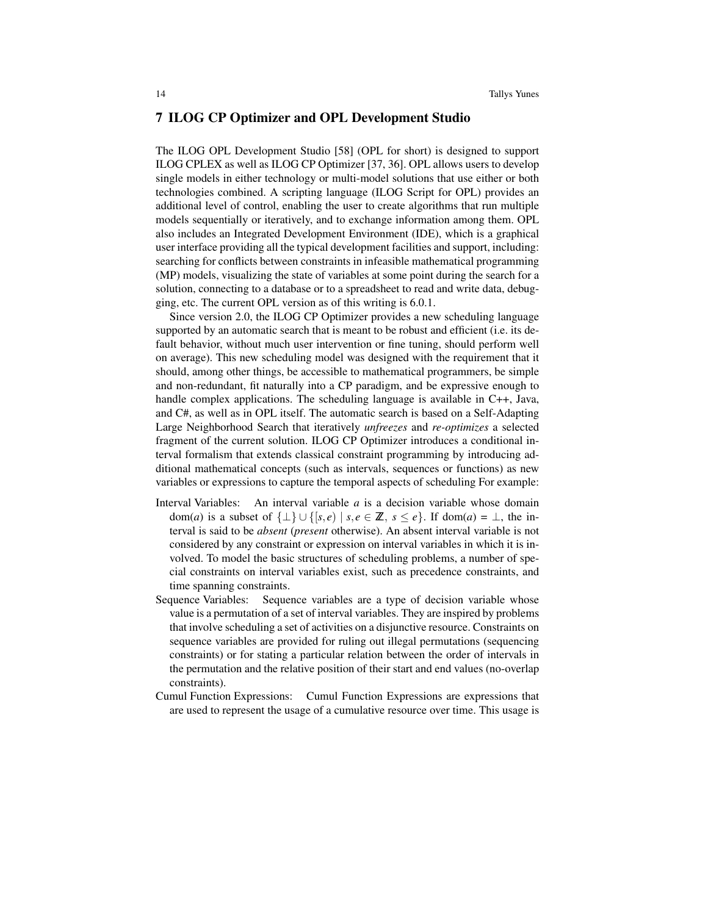#### 7 ILOG CP Optimizer and OPL Development Studio

The ILOG OPL Development Studio [58] (OPL for short) is designed to support ILOG CPLEX as well as ILOG CP Optimizer [37, 36]. OPL allows users to develop single models in either technology or multi-model solutions that use either or both technologies combined. A scripting language (ILOG Script for OPL) provides an additional level of control, enabling the user to create algorithms that run multiple models sequentially or iteratively, and to exchange information among them. OPL also includes an Integrated Development Environment (IDE), which is a graphical user interface providing all the typical development facilities and support, including: searching for conflicts between constraints in infeasible mathematical programming (MP) models, visualizing the state of variables at some point during the search for a solution, connecting to a database or to a spreadsheet to read and write data, debugging, etc. The current OPL version as of this writing is 6.0.1.

Since version 2.0, the ILOG CP Optimizer provides a new scheduling language supported by an automatic search that is meant to be robust and efficient (i.e. its default behavior, without much user intervention or fine tuning, should perform well on average). This new scheduling model was designed with the requirement that it should, among other things, be accessible to mathematical programmers, be simple and non-redundant, fit naturally into a CP paradigm, and be expressive enough to handle complex applications. The scheduling language is available in C++, Java, and C#, as well as in OPL itself. The automatic search is based on a Self-Adapting Large Neighborhood Search that iteratively *unfreezes* and *re-optimizes* a selected fragment of the current solution. ILOG CP Optimizer introduces a conditional interval formalism that extends classical constraint programming by introducing additional mathematical concepts (such as intervals, sequences or functions) as new variables or expressions to capture the temporal aspects of scheduling For example:

- Interval Variables: An interval variable *a* is a decision variable whose domain dom(*a*) is a subset of  $\{\perp\} \cup \{[s, e) \mid s, e \in \mathbb{Z}, s \le e\}$ . If dom(*a*) =  $\perp$ , the interval is said to be *absent* (*present* otherwise). An absent interval variable is not considered by any constraint or expression on interval variables in which it is involved. To model the basic structures of scheduling problems, a number of special constraints on interval variables exist, such as precedence constraints, and time spanning constraints.
- Sequence Variables: Sequence variables are a type of decision variable whose value is a permutation of a set of interval variables. They are inspired by problems that involve scheduling a set of activities on a disjunctive resource. Constraints on sequence variables are provided for ruling out illegal permutations (sequencing constraints) or for stating a particular relation between the order of intervals in the permutation and the relative position of their start and end values (no-overlap constraints).
- Cumul Function Expressions: Cumul Function Expressions are expressions that are used to represent the usage of a cumulative resource over time. This usage is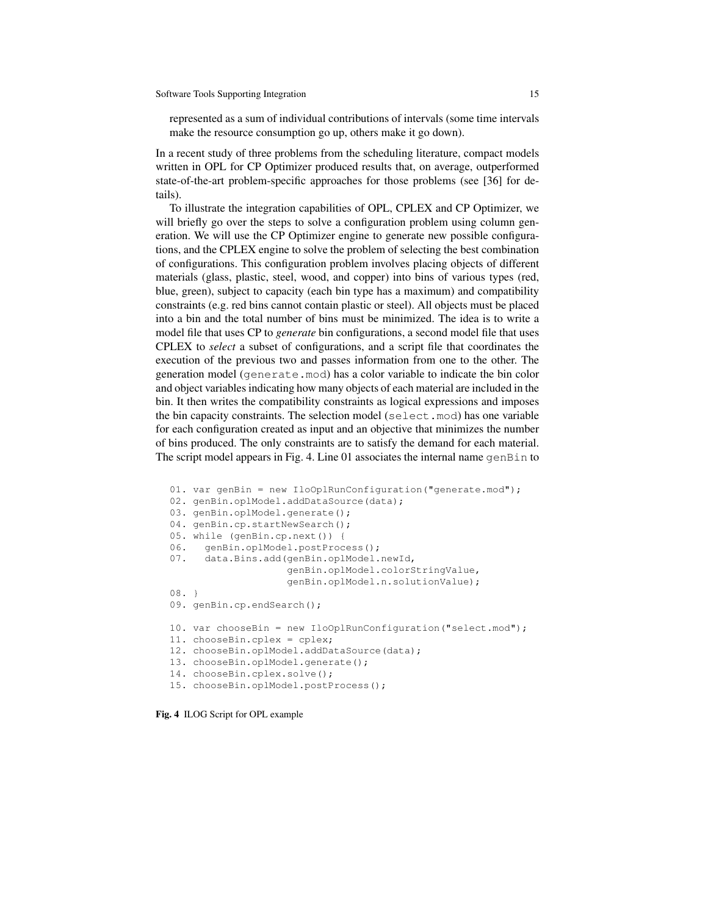represented as a sum of individual contributions of intervals (some time intervals make the resource consumption go up, others make it go down).

In a recent study of three problems from the scheduling literature, compact models written in OPL for CP Optimizer produced results that, on average, outperformed state-of-the-art problem-specific approaches for those problems (see [36] for details).

To illustrate the integration capabilities of OPL, CPLEX and CP Optimizer, we will briefly go over the steps to solve a configuration problem using column generation. We will use the CP Optimizer engine to generate new possible configurations, and the CPLEX engine to solve the problem of selecting the best combination of configurations. This configuration problem involves placing objects of different materials (glass, plastic, steel, wood, and copper) into bins of various types (red, blue, green), subject to capacity (each bin type has a maximum) and compatibility constraints (e.g. red bins cannot contain plastic or steel). All objects must be placed into a bin and the total number of bins must be minimized. The idea is to write a model file that uses CP to *generate* bin configurations, a second model file that uses CPLEX to *select* a subset of configurations, and a script file that coordinates the execution of the previous two and passes information from one to the other. The generation model (generate.mod) has a color variable to indicate the bin color and object variables indicating how many objects of each material are included in the bin. It then writes the compatibility constraints as logical expressions and imposes the bin capacity constraints. The selection model (select.mod) has one variable for each configuration created as input and an objective that minimizes the number of bins produced. The only constraints are to satisfy the demand for each material. The script model appears in Fig. 4. Line 01 associates the internal name genBin to

```
01. var genBin = new IloOplRunConfiguration("generate.mod");
02. genBin.oplModel.addDataSource(data);
03. genBin.oplModel.generate();
04. genBin.cp.startNewSearch();
05. while (genBin.cp.next()) {
06. genBin.oplModel.postProcess();
07. data.Bins.add(genBin.oplModel.newId,
                    genBin.oplModel.colorStringValue,
                    genBin.oplModel.n.solutionValue);
08. }
09. genBin.cp.endSearch();
10. var chooseBin = new IloOplRunConfiguration("select.mod");
11. chooseBin.cplex = cplex;
12. chooseBin.oplModel.addDataSource(data);
13. chooseBin.oplModel.generate();
14. chooseBin.cplex.solve();
15. chooseBin.oplModel.postProcess();
```
Fig. 4 ILOG Script for OPL example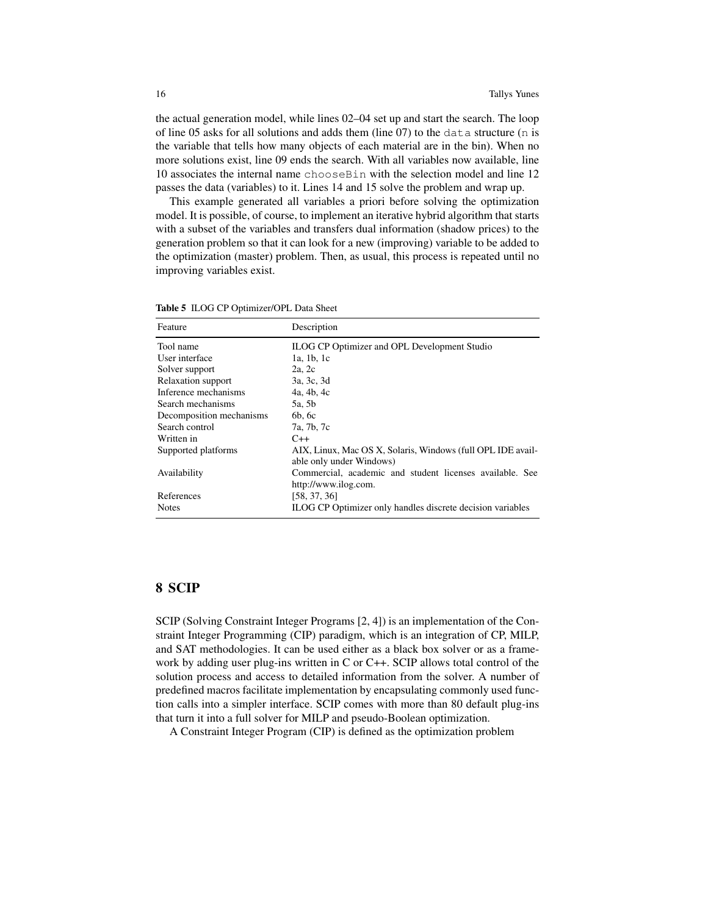the actual generation model, while lines 02–04 set up and start the search. The loop of line 05 asks for all solutions and adds them (line 07) to the data structure (n is the variable that tells how many objects of each material are in the bin). When no more solutions exist, line 09 ends the search. With all variables now available, line 10 associates the internal name chooseBin with the selection model and line 12 passes the data (variables) to it. Lines 14 and 15 solve the problem and wrap up.

This example generated all variables a priori before solving the optimization model. It is possible, of course, to implement an iterative hybrid algorithm that starts with a subset of the variables and transfers dual information (shadow prices) to the generation problem so that it can look for a new (improving) variable to be added to the optimization (master) problem. Then, as usual, this process is repeated until no improving variables exist.

|                               | Table 5 ILOG CP Optimizer/OPL Data Sheet |  |
|-------------------------------|------------------------------------------|--|
| $\mathbf{E}$ and $\mathbf{E}$ |                                          |  |

| Feature                  | Description                                                 |
|--------------------------|-------------------------------------------------------------|
| Tool name                | ILOG CP Optimizer and OPL Development Studio                |
| User interface           | $1a$ , $1b$ , $1c$                                          |
| Solver support           | 2a, 2c                                                      |
| Relaxation support       | 3a, 3c, 3d                                                  |
| Inference mechanisms     | 4a, 4b, 4c                                                  |
| Search mechanisms        | 5a, 5b                                                      |
| Decomposition mechanisms | 6b, 6c                                                      |
| Search control           | 7a, 7b, 7c                                                  |
| Written in               | $C++$                                                       |
| Supported platforms      | AIX, Linux, Mac OS X, Solaris, Windows (full OPL IDE avail- |
|                          | able only under Windows)                                    |
| Availability             | Commercial, academic and student licenses available. See    |
|                          | http://www.ilog.com.                                        |
| References               | [58, 37, 36]                                                |
| <b>Notes</b>             | ILOG CP Optimizer only handles discrete decision variables  |

#### 8 SCIP

SCIP (Solving Constraint Integer Programs [2, 4]) is an implementation of the Constraint Integer Programming (CIP) paradigm, which is an integration of CP, MILP, and SAT methodologies. It can be used either as a black box solver or as a framework by adding user plug-ins written in C or C++. SCIP allows total control of the solution process and access to detailed information from the solver. A number of predefined macros facilitate implementation by encapsulating commonly used function calls into a simpler interface. SCIP comes with more than 80 default plug-ins that turn it into a full solver for MILP and pseudo-Boolean optimization.

A Constraint Integer Program (CIP) is defined as the optimization problem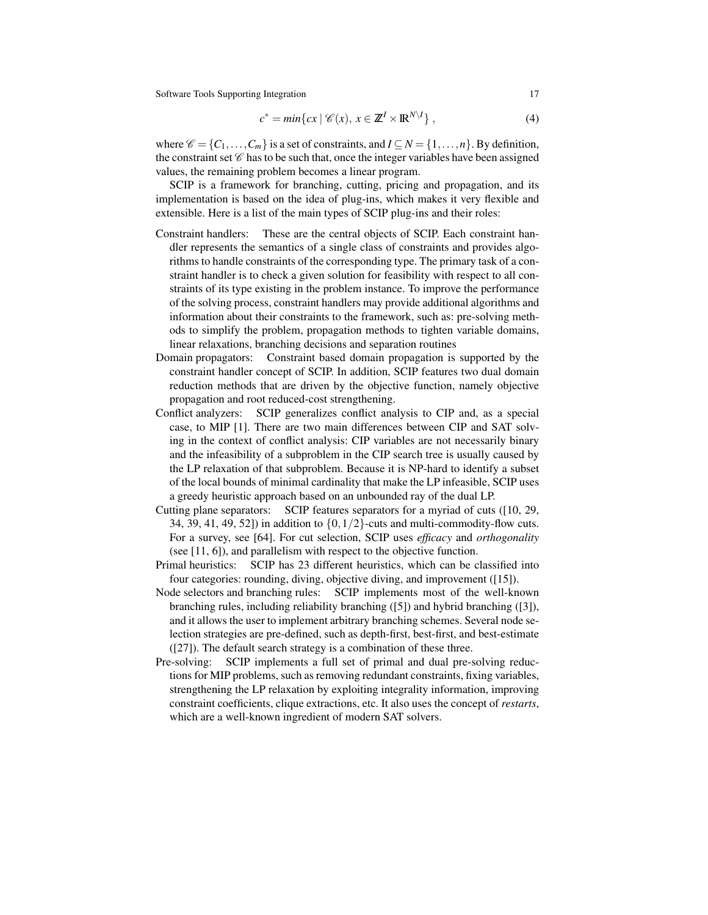$$
c^* = \min\{cx \mid \mathcal{C}(x), \, x \in \mathbb{Z}^I \times \mathbb{R}^{N \setminus I}\},\tag{4}
$$

where  $\mathcal{C} = \{C_1, \ldots, C_m\}$  is a set of constraints, and  $I \subseteq N = \{1, \ldots, n\}$ . By definition, the constraint set  $\mathscr C$  has to be such that, once the integer variables have been assigned values, the remaining problem becomes a linear program.

SCIP is a framework for branching, cutting, pricing and propagation, and its implementation is based on the idea of plug-ins, which makes it very flexible and extensible. Here is a list of the main types of SCIP plug-ins and their roles:

- Constraint handlers: These are the central objects of SCIP. Each constraint handler represents the semantics of a single class of constraints and provides algorithms to handle constraints of the corresponding type. The primary task of a constraint handler is to check a given solution for feasibility with respect to all constraints of its type existing in the problem instance. To improve the performance of the solving process, constraint handlers may provide additional algorithms and information about their constraints to the framework, such as: pre-solving methods to simplify the problem, propagation methods to tighten variable domains, linear relaxations, branching decisions and separation routines
- Domain propagators: Constraint based domain propagation is supported by the constraint handler concept of SCIP. In addition, SCIP features two dual domain reduction methods that are driven by the objective function, namely objective propagation and root reduced-cost strengthening.
- Conflict analyzers: SCIP generalizes conflict analysis to CIP and, as a special case, to MIP [1]. There are two main differences between CIP and SAT solving in the context of conflict analysis: CIP variables are not necessarily binary and the infeasibility of a subproblem in the CIP search tree is usually caused by the LP relaxation of that subproblem. Because it is NP-hard to identify a subset of the local bounds of minimal cardinality that make the LP infeasible, SCIP uses a greedy heuristic approach based on an unbounded ray of the dual LP.
- Cutting plane separators: SCIP features separators for a myriad of cuts ([10, 29, 34, 39, 41, 49, 52]) in addition to  $\{0, 1/2\}$ -cuts and multi-commodity-flow cuts. For a survey, see [64]. For cut selection, SCIP uses *efficacy* and *orthogonality* (see [11, 6]), and parallelism with respect to the objective function.
- Primal heuristics: SCIP has 23 different heuristics, which can be classified into four categories: rounding, diving, objective diving, and improvement ([15]).
- Node selectors and branching rules: SCIP implements most of the well-known branching rules, including reliability branching ([5]) and hybrid branching ([3]), and it allows the user to implement arbitrary branching schemes. Several node selection strategies are pre-defined, such as depth-first, best-first, and best-estimate ([27]). The default search strategy is a combination of these three.
- Pre-solving: SCIP implements a full set of primal and dual pre-solving reductions for MIP problems, such as removing redundant constraints, fixing variables, strengthening the LP relaxation by exploiting integrality information, improving constraint coefficients, clique extractions, etc. It also uses the concept of *restarts*, which are a well-known ingredient of modern SAT solvers.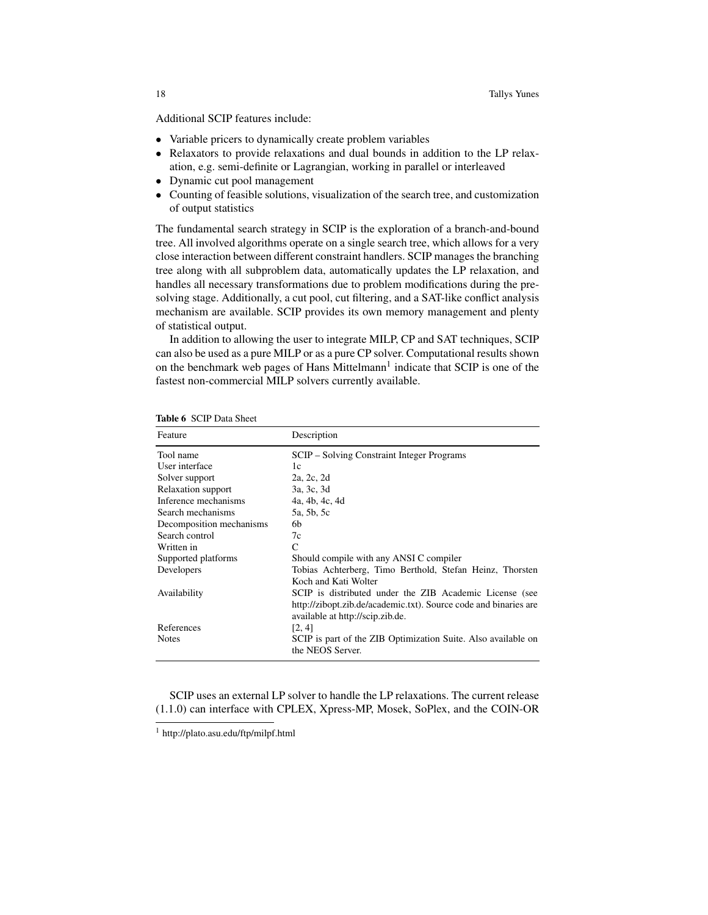Additional SCIP features include:

- Variable pricers to dynamically create problem variables
- Relaxators to provide relaxations and dual bounds in addition to the LP relaxation, e.g. semi-definite or Lagrangian, working in parallel or interleaved
- Dynamic cut pool management
- Counting of feasible solutions, visualization of the search tree, and customization of output statistics

The fundamental search strategy in SCIP is the exploration of a branch-and-bound tree. All involved algorithms operate on a single search tree, which allows for a very close interaction between different constraint handlers. SCIP manages the branching tree along with all subproblem data, automatically updates the LP relaxation, and handles all necessary transformations due to problem modifications during the presolving stage. Additionally, a cut pool, cut filtering, and a SAT-like conflict analysis mechanism are available. SCIP provides its own memory management and plenty of statistical output.

In addition to allowing the user to integrate MILP, CP and SAT techniques, SCIP can also be used as a pure MILP or as a pure CP solver. Computational results shown on the benchmark web pages of Hans Mittelmann<sup>1</sup> indicate that SCIP is one of the fastest non-commercial MILP solvers currently available.

| Feature                  | Description                                                                       |  |
|--------------------------|-----------------------------------------------------------------------------------|--|
| Tool name                | SCIP – Solving Constraint Integer Programs                                        |  |
| User interface           | 1c                                                                                |  |
| Solver support           | 2a, 2c, 2d                                                                        |  |
| Relaxation support       | 3a, 3c, 3d                                                                        |  |
| Inference mechanisms     | 4a, 4b, 4c, 4d                                                                    |  |
| Search mechanisms        | 5a, 5b, 5c                                                                        |  |
| Decomposition mechanisms | 6b.                                                                               |  |
| Search control           | 7c                                                                                |  |
| Written in               | C                                                                                 |  |
| Supported platforms      | Should compile with any ANSI C compiler                                           |  |
| Developers               | Tobias Achterberg, Timo Berthold, Stefan Heinz, Thorsten                          |  |
|                          | Koch and Kati Wolter                                                              |  |
| Availability             | SCIP is distributed under the ZIB Academic License (see                           |  |
|                          | http://zibopt.zib.de/academic.txt). Source code and binaries are                  |  |
|                          | available at http://scip.zib.de.                                                  |  |
| References               | [2, 4]                                                                            |  |
| <b>Notes</b>             | SCIP is part of the ZIB Optimization Suite. Also available on<br>the NEOS Server. |  |

Table 6 SCIP Data Sheet

SCIP uses an external LP solver to handle the LP relaxations. The current release (1.1.0) can interface with CPLEX, Xpress-MP, Mosek, SoPlex, and the COIN-OR

<sup>1</sup> http://plato.asu.edu/ftp/milpf.html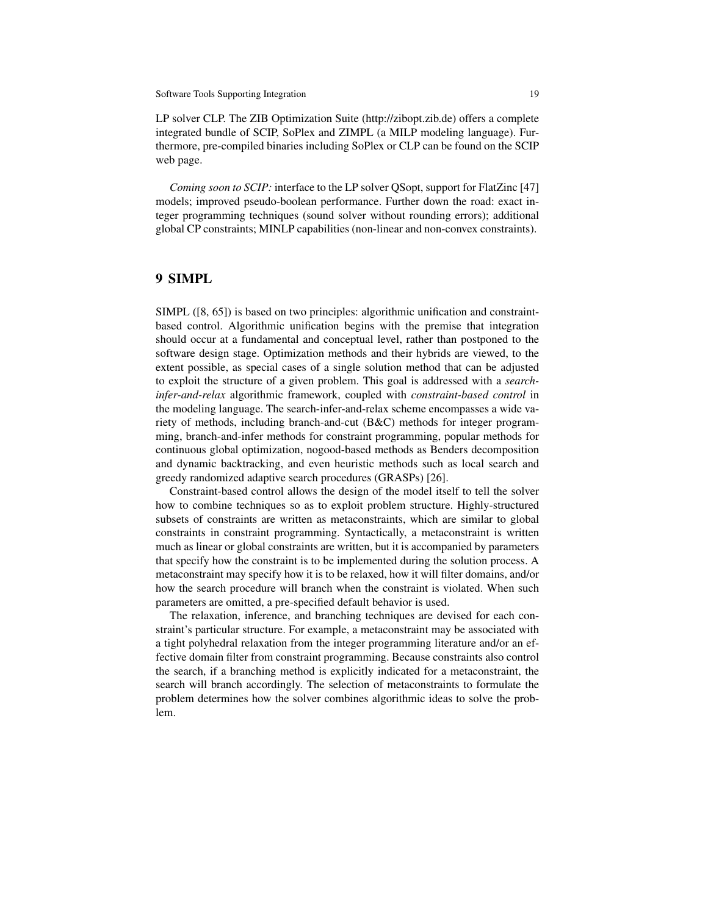LP solver CLP. The ZIB Optimization Suite (http://zibopt.zib.de) offers a complete integrated bundle of SCIP, SoPlex and ZIMPL (a MILP modeling language). Furthermore, pre-compiled binaries including SoPlex or CLP can be found on the SCIP web page.

*Coming soon to SCIP:* interface to the LP solver QSopt, support for FlatZinc [47] models; improved pseudo-boolean performance. Further down the road: exact integer programming techniques (sound solver without rounding errors); additional global CP constraints; MINLP capabilities (non-linear and non-convex constraints).

## 9 SIMPL

SIMPL ([8, 65]) is based on two principles: algorithmic unification and constraintbased control. Algorithmic unification begins with the premise that integration should occur at a fundamental and conceptual level, rather than postponed to the software design stage. Optimization methods and their hybrids are viewed, to the extent possible, as special cases of a single solution method that can be adjusted to exploit the structure of a given problem. This goal is addressed with a *searchinfer-and-relax* algorithmic framework, coupled with *constraint-based control* in the modeling language. The search-infer-and-relax scheme encompasses a wide variety of methods, including branch-and-cut (B&C) methods for integer programming, branch-and-infer methods for constraint programming, popular methods for continuous global optimization, nogood-based methods as Benders decomposition and dynamic backtracking, and even heuristic methods such as local search and greedy randomized adaptive search procedures (GRASPs) [26].

Constraint-based control allows the design of the model itself to tell the solver how to combine techniques so as to exploit problem structure. Highly-structured subsets of constraints are written as metaconstraints, which are similar to global constraints in constraint programming. Syntactically, a metaconstraint is written much as linear or global constraints are written, but it is accompanied by parameters that specify how the constraint is to be implemented during the solution process. A metaconstraint may specify how it is to be relaxed, how it will filter domains, and/or how the search procedure will branch when the constraint is violated. When such parameters are omitted, a pre-specified default behavior is used.

The relaxation, inference, and branching techniques are devised for each constraint's particular structure. For example, a metaconstraint may be associated with a tight polyhedral relaxation from the integer programming literature and/or an effective domain filter from constraint programming. Because constraints also control the search, if a branching method is explicitly indicated for a metaconstraint, the search will branch accordingly. The selection of metaconstraints to formulate the problem determines how the solver combines algorithmic ideas to solve the problem.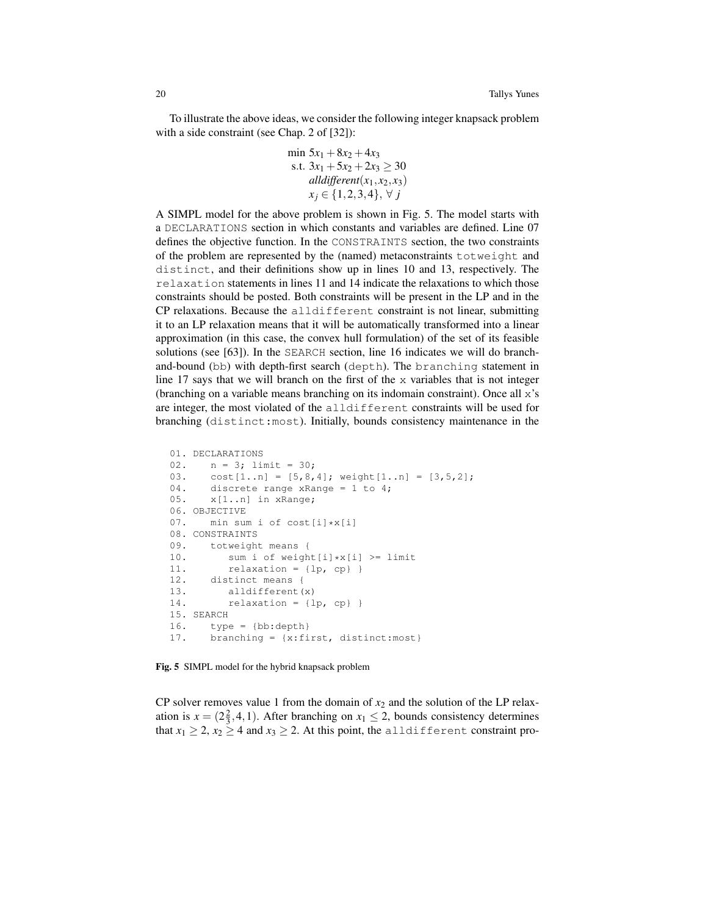To illustrate the above ideas, we consider the following integer knapsack problem with a side constraint (see Chap. 2 of [32]):

min 
$$
5x_1 + 8x_2 + 4x_3
$$
  
s.t.  $3x_1 + 5x_2 + 2x_3 \ge 30$   
alldifferent $(x_1, x_2, x_3)$   
 $x_j \in \{1, 2, 3, 4\}, \forall j$ 

A SIMPL model for the above problem is shown in Fig. 5. The model starts with a DECLARATIONS section in which constants and variables are defined. Line 07 defines the objective function. In the CONSTRAINTS section, the two constraints of the problem are represented by the (named) metaconstraints totweight and distinct, and their definitions show up in lines 10 and 13, respectively. The relaxation statements in lines 11 and 14 indicate the relaxations to which those constraints should be posted. Both constraints will be present in the LP and in the CP relaxations. Because the alldifferent constraint is not linear, submitting it to an LP relaxation means that it will be automatically transformed into a linear approximation (in this case, the convex hull formulation) of the set of its feasible solutions (see [63]). In the SEARCH section, line 16 indicates we will do branchand-bound (bb) with depth-first search (depth). The branching statement in line  $17$  says that we will branch on the first of the x variables that is not integer (branching on a variable means branching on its indomain constraint). Once all x's are integer, the most violated of the alldifferent constraints will be used for branching (distinct:most). Initially, bounds consistency maintenance in the

```
01. DECLARATIONS
02. n = 3; limit = 30;
03. cost[1..n] = [5,8,4]; weight[1..n] = [3,5,2];04. discrete range xRange = 1 to 4;
05. x[1..n] in xRange;
06. OBJECTIVE
07. min sum i of cost[i]*x[i]
08. CONSTRAINTS
09. totweight means {
10. sum i of weight[i] *x[i] > = limit<br>11. relaxation = {lp, cp} }
         relaxation = \{lp, cp\} }
12. distinct means {
13. alldifferent(x)
14. relaxation = {lp, cp} }
15. SEARCH
16. type = {bb:}17. branching = \{x: first, distinct:most\}
```
Fig. 5 SIMPL model for the hybrid knapsack problem

CP solver removes value 1 from the domain of  $x_2$  and the solution of the LP relaxation is  $x = (2\frac{2}{3}, 4, 1)$ . After branching on  $x_1 \le 2$ , bounds consistency determines that  $x_1 \geq 2$ ,  $x_2 \geq 4$  and  $x_3 \geq 2$ . At this point, the alldifferent constraint pro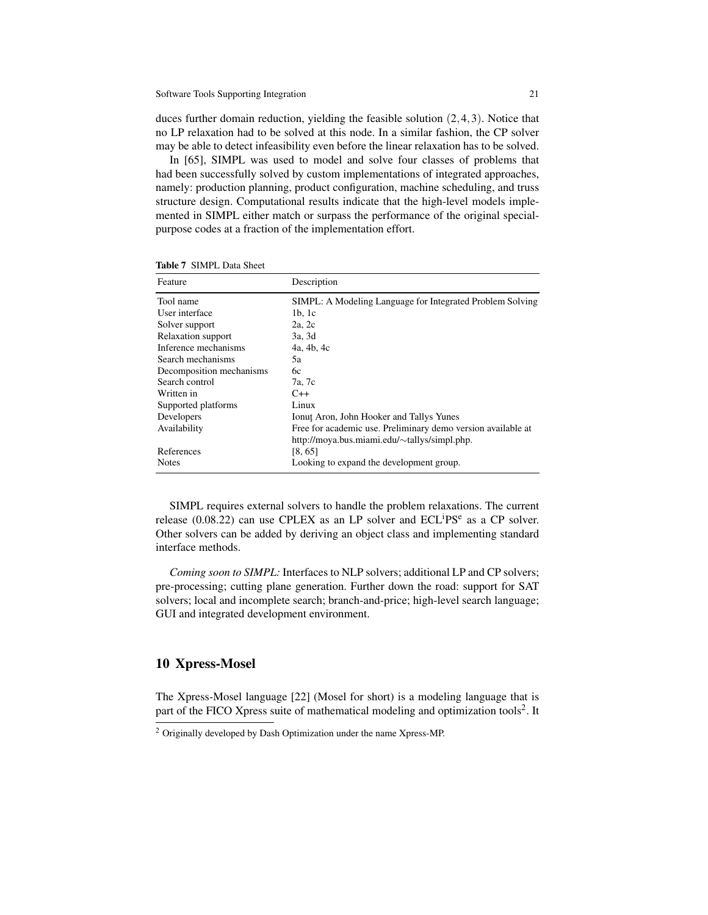duces further domain reduction, yielding the feasible solution (2,4,3). Notice that no LP relaxation had to be solved at this node. In a similar fashion, the CP solver may be able to detect infeasibility even before the linear relaxation has to be solved.

In [65], SIMPL was used to model and solve four classes of problems that had been successfully solved by custom implementations of integrated approaches, namely: production planning, product configuration, machine scheduling, and truss structure design. Computational results indicate that the high-level models implemented in SIMPL either match or surpass the performance of the original specialpurpose codes at a fraction of the implementation effort.

| Feature                  | Description                                                  |
|--------------------------|--------------------------------------------------------------|
| Tool name                | SIMPL: A Modeling Language for Integrated Problem Solving    |
| User interface           | $1b$ , $1c$                                                  |
| Solver support           | 2a, 2c                                                       |
| Relaxation support       | 3a, 3d                                                       |
| Inference mechanisms     | 4a, 4b, 4c                                                   |
| Search mechanisms        | 5a                                                           |
| Decomposition mechanisms | 6с                                                           |
| Search control           | 7a, 7c                                                       |
| Written in               | $C++$                                                        |
| Supported platforms      | Linux                                                        |
| Developers               | Ionut Aron, John Hooker and Tallys Yunes                     |
| Availability             | Free for academic use. Preliminary demo version available at |
|                          | http://moya.bus.miami.edu/~tallys/simpl.php.                 |
| References               | [8, 65]                                                      |
| <b>Notes</b>             | Looking to expand the development group.                     |

Table 7 SIMPL Data Sheet

SIMPL requires external solvers to handle the problem relaxations. The current release (0.08.22) can use CPLEX as an LP solver and ECL<sup>i</sup>PS<sup>e</sup> as a CP solver. Other solvers can be added by deriving an object class and implementing standard interface methods.

*Coming soon to SIMPL:* Interfaces to NLP solvers; additional LP and CP solvers; pre-processing; cutting plane generation. Further down the road: support for SAT solvers; local and incomplete search; branch-and-price; high-level search language; GUI and integrated development environment.

#### 10 Xpress-Mosel

The Xpress-Mosel language [22] (Mosel for short) is a modeling language that is part of the FICO Xpress suite of mathematical modeling and optimization tools<sup>2</sup>. It

<sup>2</sup> Originally developed by Dash Optimization under the name Xpress-MP.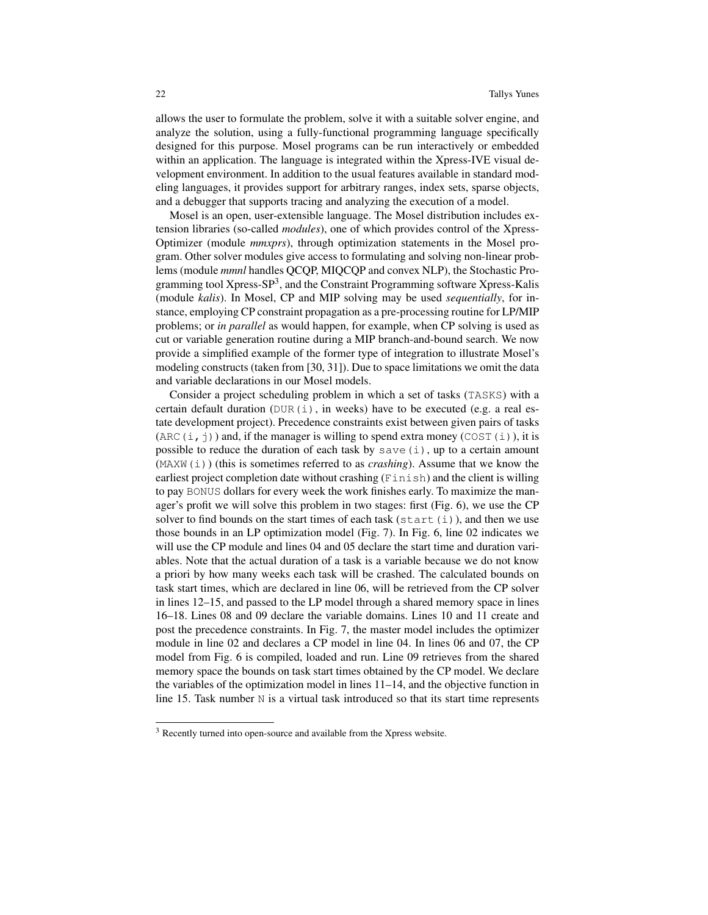allows the user to formulate the problem, solve it with a suitable solver engine, and analyze the solution, using a fully-functional programming language specifically designed for this purpose. Mosel programs can be run interactively or embedded within an application. The language is integrated within the Xpress-IVE visual development environment. In addition to the usual features available in standard modeling languages, it provides support for arbitrary ranges, index sets, sparse objects, and a debugger that supports tracing and analyzing the execution of a model.

Mosel is an open, user-extensible language. The Mosel distribution includes extension libraries (so-called *modules*), one of which provides control of the Xpress-Optimizer (module *mmxprs*), through optimization statements in the Mosel program. Other solver modules give access to formulating and solving non-linear problems (module *mmnl* handles QCQP, MIQCQP and convex NLP), the Stochastic Programming tool Xpress-SP<sup>3</sup>, and the Constraint Programming software Xpress-Kalis (module *kalis*). In Mosel, CP and MIP solving may be used *sequentially*, for instance, employing CP constraint propagation as a pre-processing routine for LP/MIP problems; or *in parallel* as would happen, for example, when CP solving is used as cut or variable generation routine during a MIP branch-and-bound search. We now provide a simplified example of the former type of integration to illustrate Mosel's modeling constructs (taken from [30, 31]). Due to space limitations we omit the data and variable declarations in our Mosel models.

Consider a project scheduling problem in which a set of tasks (TASKS) with a certain default duration (DUR( $i$ ), in weeks) have to be executed (e.g. a real estate development project). Precedence constraints exist between given pairs of tasks (ARC(i, j)) and, if the manager is willing to spend extra money (COST(i)), it is possible to reduce the duration of each task by  $s$  ave  $(i)$ , up to a certain amount (MAXW(i)) (this is sometimes referred to as *crashing*). Assume that we know the earliest project completion date without crashing (Finish) and the client is willing to pay BONUS dollars for every week the work finishes early. To maximize the manager's profit we will solve this problem in two stages: first (Fig. 6), we use the CP solver to find bounds on the start times of each task (start(i)), and then we use those bounds in an LP optimization model (Fig. 7). In Fig. 6, line 02 indicates we will use the CP module and lines 04 and 05 declare the start time and duration variables. Note that the actual duration of a task is a variable because we do not know a priori by how many weeks each task will be crashed. The calculated bounds on task start times, which are declared in line 06, will be retrieved from the CP solver in lines 12–15, and passed to the LP model through a shared memory space in lines 16–18. Lines 08 and 09 declare the variable domains. Lines 10 and 11 create and post the precedence constraints. In Fig. 7, the master model includes the optimizer module in line 02 and declares a CP model in line 04. In lines 06 and 07, the CP model from Fig. 6 is compiled, loaded and run. Line 09 retrieves from the shared memory space the bounds on task start times obtained by the CP model. We declare the variables of the optimization model in lines 11–14, and the objective function in line 15. Task number N is a virtual task introduced so that its start time represents

<sup>&</sup>lt;sup>3</sup> Recently turned into open-source and available from the Xpress website.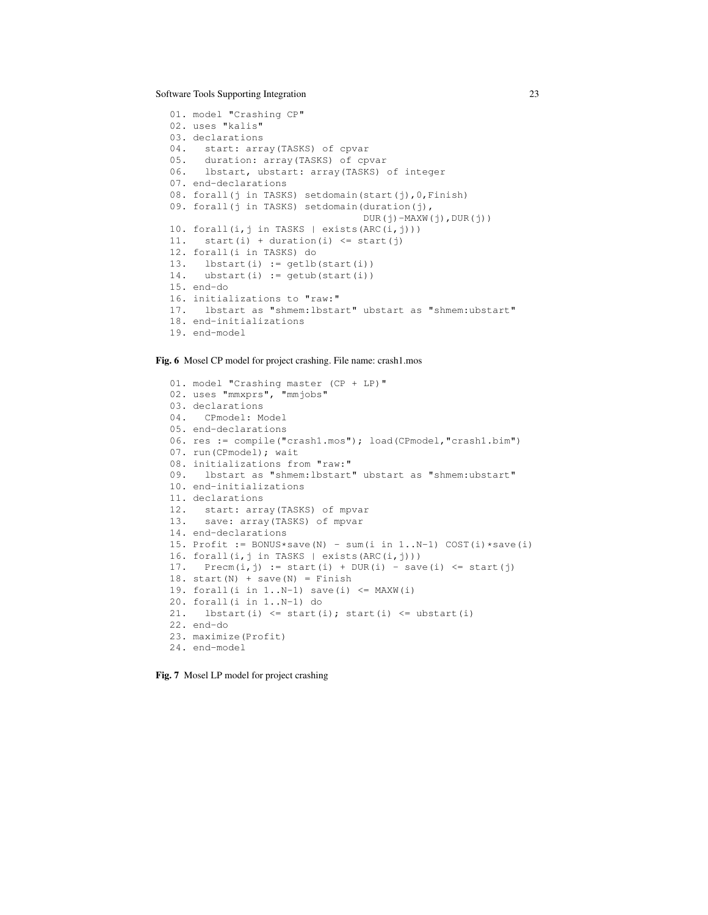```
01. model "Crashing CP"
02. uses "kalis"
03. declarations
04. start: array(TASKS) of cpvar
05. duration: array(TASKS) of cpvar
06. lbstart, ubstart: array(TASKS) of integer
07. end-declarations
08. forall(j in TASKS) setdomain(start(j),0,Finish)
09. forall(j in TASKS) setdomain(duration(j),
                                DUR(j)-MAXW(j),DUR(j))
10. forall(i,j in TASKS | exists(ARC(i,j)))
11. start(i) + duration(i) \leq start(j)
12. forall(i in TASKS) do
13. lbstart(i) := getlb(start(i))14. ubstart(i) := getub(start(i))15. end-do
16. initializations to "raw:"
17. lbstart as "shmem:lbstart" ubstart as "shmem:ubstart"
18. end-initializations
19. end-model
```
Fig. 6 Mosel CP model for project crashing. File name: crash1.mos

```
01. model "Crashing master (CP + LP)"
02. uses "mmxprs", "mmjobs"
03. declarations
04. CPmodel: Model
05. end-declarations
06. res := compile("crash1.mos"); load(CPmodel,"crash1.bim")
07. run(CPmodel); wait
08. initializations from "raw:"
09. lbstart as "shmem:lbstart" ubstart as "shmem:ubstart"
10. end-initializations
11. declarations
12. start: array(TASKS) of mpvar
13. save: array(TASKS) of mpvar
14. end-declarations
15. Profit := BONUS*save(N) - sum(i in 1..N-1) COST(i)*save(i)
16. forall(i,j in TASKS | exists(ARC(i,j)))
17. Precm(i,j) := start(i) + DUR(i) - save(i) <= start(j)
18. start(N) + save(N) = Finish
19. forall(i in 1..N-1) save(i) <= MAXW(i)
20. forall(i in 1..N-1) do
21. lbstart(i) \leq start(i); start(i) \leq ubstart(i)
22. end-do
23. maximize(Profit)
24. end-model
```
Fig. 7 Mosel LP model for project crashing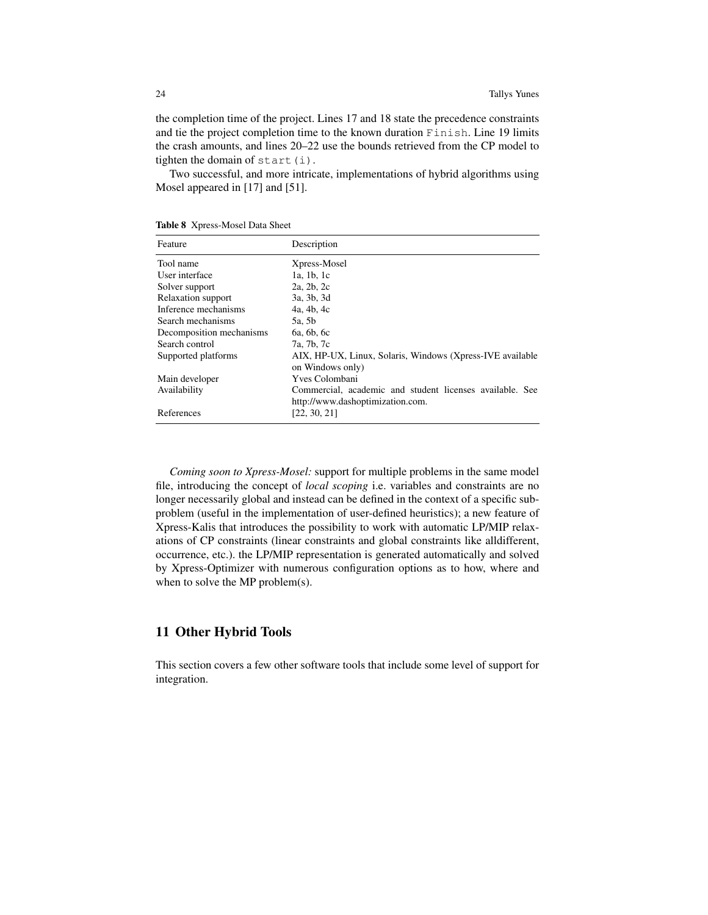the completion time of the project. Lines 17 and 18 state the precedence constraints and tie the project completion time to the known duration Finish. Line 19 limits the crash amounts, and lines 20–22 use the bounds retrieved from the CP model to tighten the domain of  $start(i)$ .

Two successful, and more intricate, implementations of hybrid algorithms using Mosel appeared in [17] and [51].

| Feature                  | Description                                                                                  |
|--------------------------|----------------------------------------------------------------------------------------------|
| Tool name                | Xpress-Mosel                                                                                 |
| User interface           | $1a$ , $1b$ , $1c$                                                                           |
| Solver support           | 2a, 2b, 2c                                                                                   |
| Relaxation support       | 3a, 3b, 3d                                                                                   |
| Inference mechanisms     | 4a, 4b, 4c                                                                                   |
| Search mechanisms        | 5a, 5b                                                                                       |
| Decomposition mechanisms | 6a, 6b, 6c                                                                                   |
| Search control           | 7a, 7b, 7c                                                                                   |
| Supported platforms      | AIX, HP-UX, Linux, Solaris, Windows (Xpress-IVE available<br>on Windows only)                |
| Main developer           | Yves Colombani                                                                               |
| Availability             | Commercial, academic and student licenses available. See<br>http://www.dashoptimization.com. |
| References               | [22, 30, 21]                                                                                 |

Table 8 Xpress-Mosel Data Sheet

*Coming soon to Xpress-Mosel:* support for multiple problems in the same model file, introducing the concept of *local scoping* i.e. variables and constraints are no longer necessarily global and instead can be defined in the context of a specific subproblem (useful in the implementation of user-defined heuristics); a new feature of Xpress-Kalis that introduces the possibility to work with automatic LP/MIP relaxations of CP constraints (linear constraints and global constraints like alldifferent, occurrence, etc.). the LP/MIP representation is generated automatically and solved by Xpress-Optimizer with numerous configuration options as to how, where and when to solve the MP problem(s).

## 11 Other Hybrid Tools

This section covers a few other software tools that include some level of support for integration.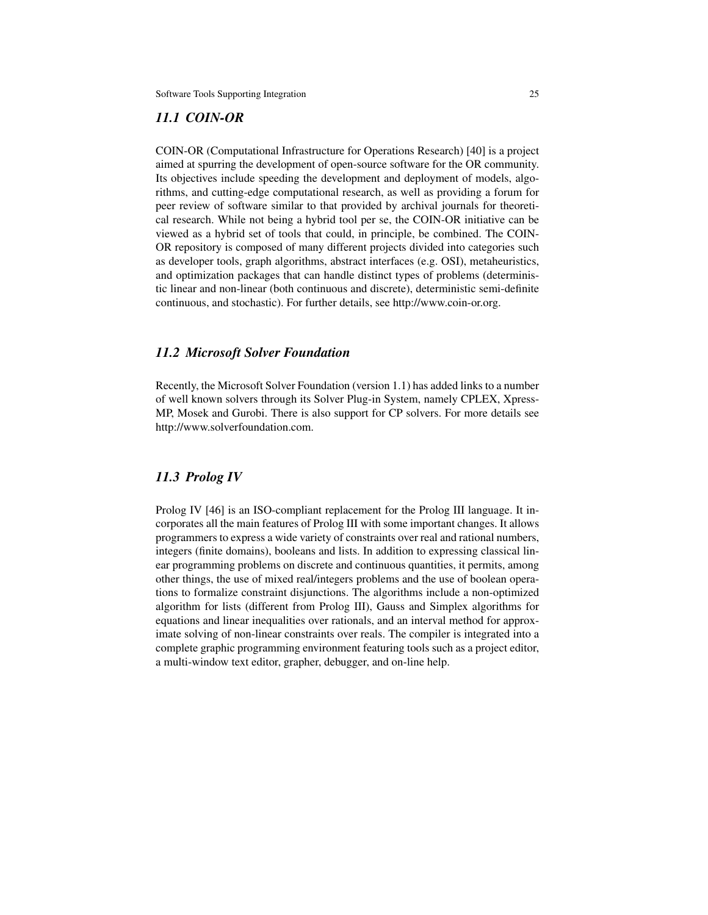## *11.1 COIN-OR*

COIN-OR (Computational Infrastructure for Operations Research) [40] is a project aimed at spurring the development of open-source software for the OR community. Its objectives include speeding the development and deployment of models, algorithms, and cutting-edge computational research, as well as providing a forum for peer review of software similar to that provided by archival journals for theoretical research. While not being a hybrid tool per se, the COIN-OR initiative can be viewed as a hybrid set of tools that could, in principle, be combined. The COIN-OR repository is composed of many different projects divided into categories such as developer tools, graph algorithms, abstract interfaces (e.g. OSI), metaheuristics, and optimization packages that can handle distinct types of problems (deterministic linear and non-linear (both continuous and discrete), deterministic semi-definite continuous, and stochastic). For further details, see http://www.coin-or.org.

## *11.2 Microsoft Solver Foundation*

Recently, the Microsoft Solver Foundation (version 1.1) has added links to a number of well known solvers through its Solver Plug-in System, namely CPLEX, Xpress-MP, Mosek and Gurobi. There is also support for CP solvers. For more details see http://www.solverfoundation.com.

## *11.3 Prolog IV*

Prolog IV [46] is an ISO-compliant replacement for the Prolog III language. It incorporates all the main features of Prolog III with some important changes. It allows programmers to express a wide variety of constraints over real and rational numbers, integers (finite domains), booleans and lists. In addition to expressing classical linear programming problems on discrete and continuous quantities, it permits, among other things, the use of mixed real/integers problems and the use of boolean operations to formalize constraint disjunctions. The algorithms include a non-optimized algorithm for lists (different from Prolog III), Gauss and Simplex algorithms for equations and linear inequalities over rationals, and an interval method for approximate solving of non-linear constraints over reals. The compiler is integrated into a complete graphic programming environment featuring tools such as a project editor, a multi-window text editor, grapher, debugger, and on-line help.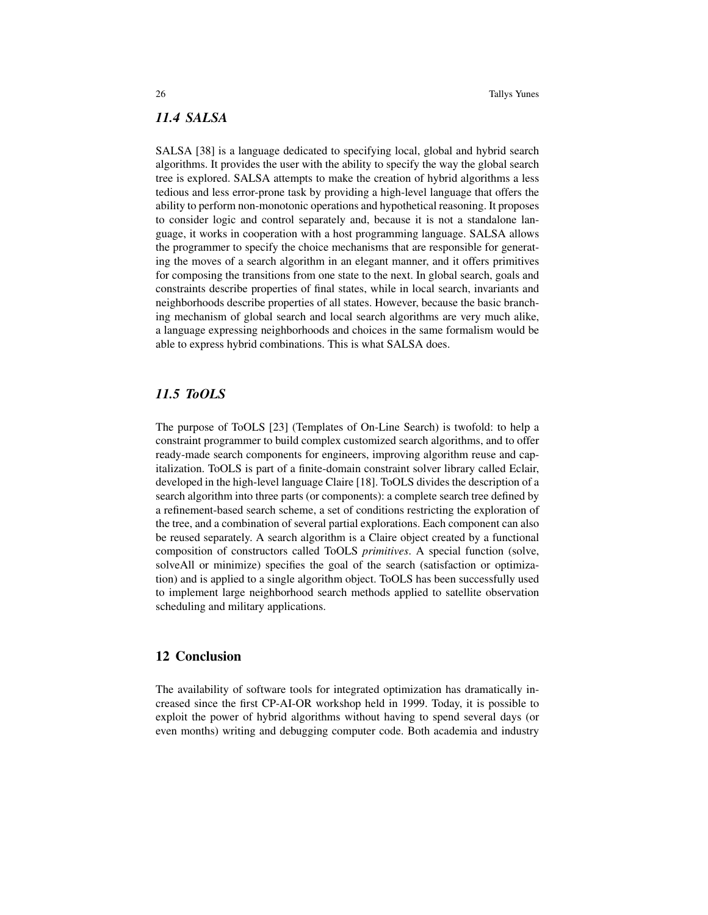## *11.4 SALSA*

SALSA [38] is a language dedicated to specifying local, global and hybrid search algorithms. It provides the user with the ability to specify the way the global search tree is explored. SALSA attempts to make the creation of hybrid algorithms a less tedious and less error-prone task by providing a high-level language that offers the ability to perform non-monotonic operations and hypothetical reasoning. It proposes to consider logic and control separately and, because it is not a standalone language, it works in cooperation with a host programming language. SALSA allows the programmer to specify the choice mechanisms that are responsible for generating the moves of a search algorithm in an elegant manner, and it offers primitives for composing the transitions from one state to the next. In global search, goals and constraints describe properties of final states, while in local search, invariants and neighborhoods describe properties of all states. However, because the basic branching mechanism of global search and local search algorithms are very much alike, a language expressing neighborhoods and choices in the same formalism would be able to express hybrid combinations. This is what SALSA does.

## *11.5 ToOLS*

The purpose of ToOLS [23] (Templates of On-Line Search) is twofold: to help a constraint programmer to build complex customized search algorithms, and to offer ready-made search components for engineers, improving algorithm reuse and capitalization. ToOLS is part of a finite-domain constraint solver library called Eclair, developed in the high-level language Claire [18]. ToOLS divides the description of a search algorithm into three parts (or components): a complete search tree defined by a refinement-based search scheme, a set of conditions restricting the exploration of the tree, and a combination of several partial explorations. Each component can also be reused separately. A search algorithm is a Claire object created by a functional composition of constructors called ToOLS *primitives*. A special function (solve, solveAll or minimize) specifies the goal of the search (satisfaction or optimization) and is applied to a single algorithm object. ToOLS has been successfully used to implement large neighborhood search methods applied to satellite observation scheduling and military applications.

## 12 Conclusion

The availability of software tools for integrated optimization has dramatically increased since the first CP-AI-OR workshop held in 1999. Today, it is possible to exploit the power of hybrid algorithms without having to spend several days (or even months) writing and debugging computer code. Both academia and industry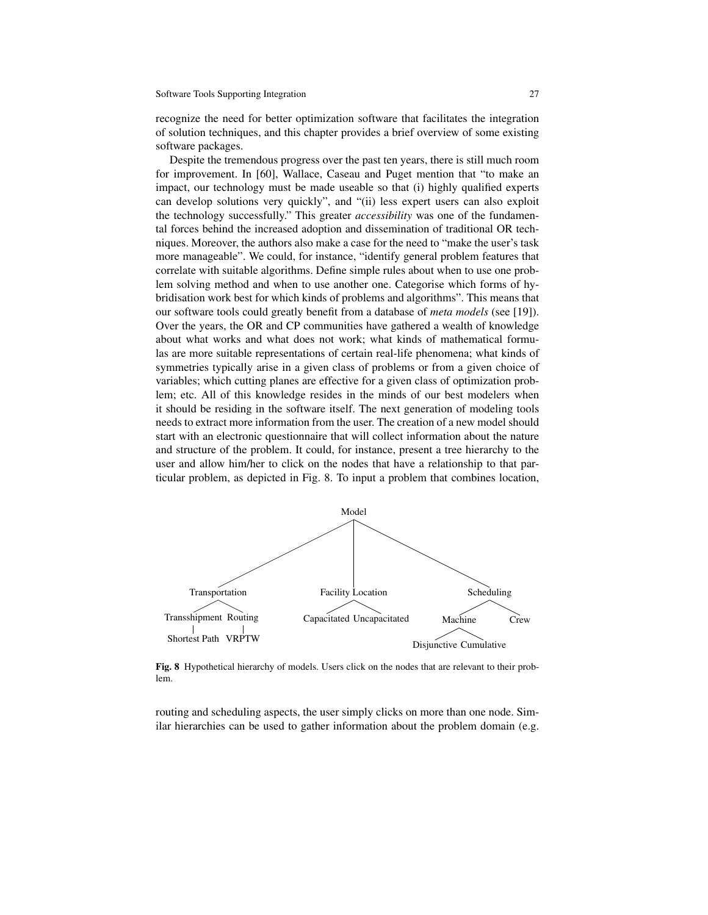recognize the need for better optimization software that facilitates the integration of solution techniques, and this chapter provides a brief overview of some existing software packages.

Despite the tremendous progress over the past ten years, there is still much room for improvement. In [60], Wallace, Caseau and Puget mention that "to make an impact, our technology must be made useable so that (i) highly qualified experts can develop solutions very quickly", and "(ii) less expert users can also exploit the technology successfully." This greater *accessibility* was one of the fundamental forces behind the increased adoption and dissemination of traditional OR techniques. Moreover, the authors also make a case for the need to "make the user's task more manageable". We could, for instance, "identify general problem features that correlate with suitable algorithms. Define simple rules about when to use one problem solving method and when to use another one. Categorise which forms of hybridisation work best for which kinds of problems and algorithms". This means that our software tools could greatly benefit from a database of *meta models* (see [19]). Over the years, the OR and CP communities have gathered a wealth of knowledge about what works and what does not work; what kinds of mathematical formulas are more suitable representations of certain real-life phenomena; what kinds of symmetries typically arise in a given class of problems or from a given choice of variables; which cutting planes are effective for a given class of optimization problem; etc. All of this knowledge resides in the minds of our best modelers when it should be residing in the software itself. The next generation of modeling tools needs to extract more information from the user. The creation of a new model should start with an electronic questionnaire that will collect information about the nature and structure of the problem. It could, for instance, present a tree hierarchy to the user and allow him/her to click on the nodes that have a relationship to that particular problem, as depicted in Fig. 8. To input a problem that combines location,



Fig. 8 Hypothetical hierarchy of models. Users click on the nodes that are relevant to their problem.

routing and scheduling aspects, the user simply clicks on more than one node. Similar hierarchies can be used to gather information about the problem domain (e.g.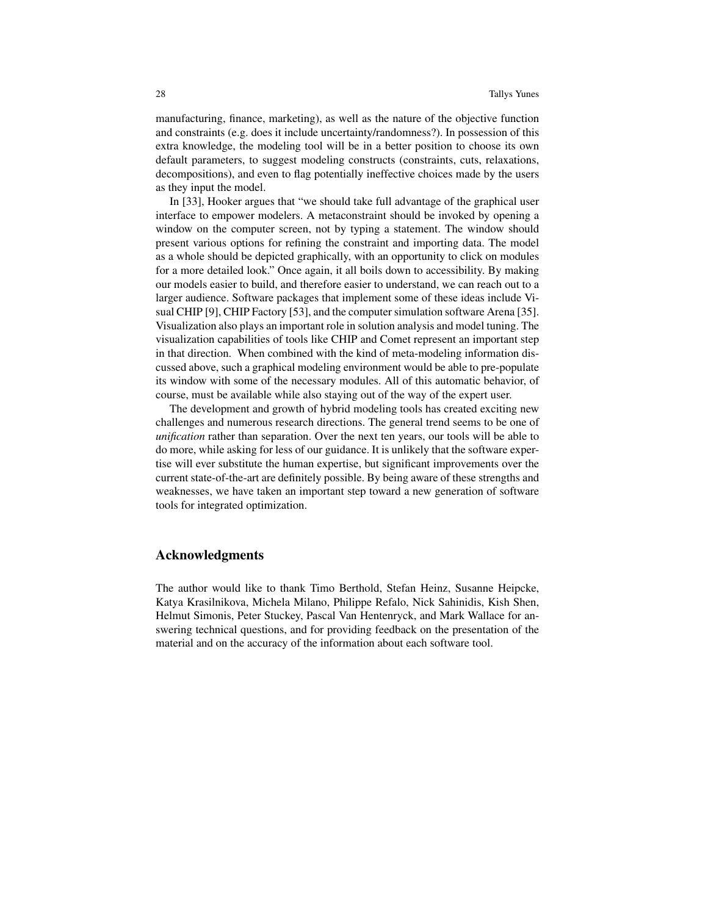manufacturing, finance, marketing), as well as the nature of the objective function and constraints (e.g. does it include uncertainty/randomness?). In possession of this extra knowledge, the modeling tool will be in a better position to choose its own default parameters, to suggest modeling constructs (constraints, cuts, relaxations, decompositions), and even to flag potentially ineffective choices made by the users as they input the model.

In [33], Hooker argues that "we should take full advantage of the graphical user interface to empower modelers. A metaconstraint should be invoked by opening a window on the computer screen, not by typing a statement. The window should present various options for refining the constraint and importing data. The model as a whole should be depicted graphically, with an opportunity to click on modules for a more detailed look." Once again, it all boils down to accessibility. By making our models easier to build, and therefore easier to understand, we can reach out to a larger audience. Software packages that implement some of these ideas include Visual CHIP [9], CHIP Factory [53], and the computer simulation software Arena [35]. Visualization also plays an important role in solution analysis and model tuning. The visualization capabilities of tools like CHIP and Comet represent an important step in that direction. When combined with the kind of meta-modeling information discussed above, such a graphical modeling environment would be able to pre-populate its window with some of the necessary modules. All of this automatic behavior, of course, must be available while also staying out of the way of the expert user.

The development and growth of hybrid modeling tools has created exciting new challenges and numerous research directions. The general trend seems to be one of *unification* rather than separation. Over the next ten years, our tools will be able to do more, while asking for less of our guidance. It is unlikely that the software expertise will ever substitute the human expertise, but significant improvements over the current state-of-the-art are definitely possible. By being aware of these strengths and weaknesses, we have taken an important step toward a new generation of software tools for integrated optimization.

#### Acknowledgments

The author would like to thank Timo Berthold, Stefan Heinz, Susanne Heipcke, Katya Krasilnikova, Michela Milano, Philippe Refalo, Nick Sahinidis, Kish Shen, Helmut Simonis, Peter Stuckey, Pascal Van Hentenryck, and Mark Wallace for answering technical questions, and for providing feedback on the presentation of the material and on the accuracy of the information about each software tool.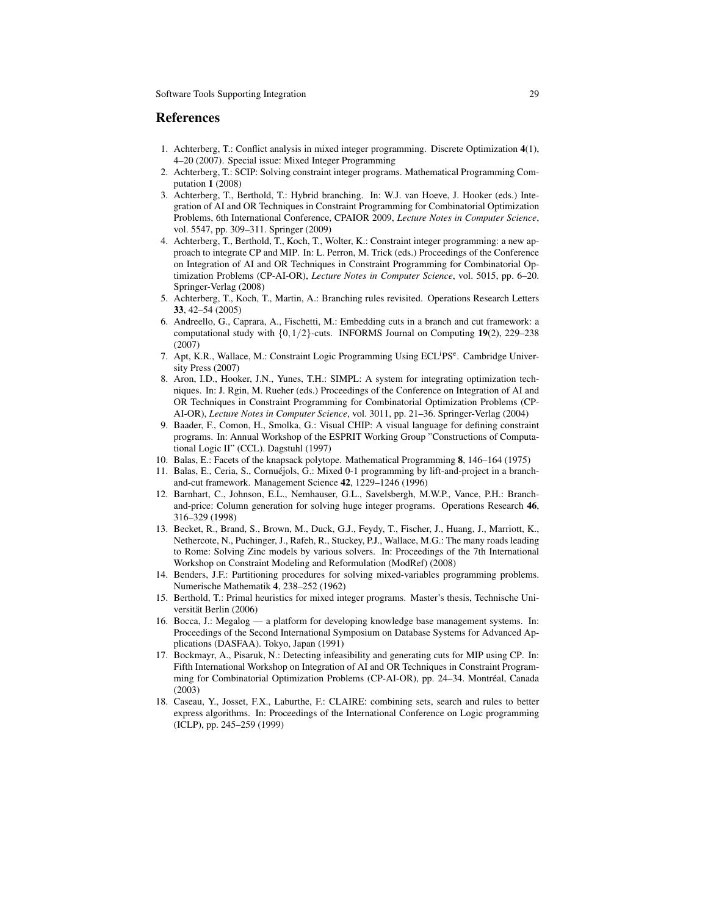#### References

- 1. Achterberg, T.: Conflict analysis in mixed integer programming. Discrete Optimization 4(1), 4–20 (2007). Special issue: Mixed Integer Programming
- 2. Achterberg, T.: SCIP: Solving constraint integer programs. Mathematical Programming Computation 1 (2008)
- 3. Achterberg, T., Berthold, T.: Hybrid branching. In: W.J. van Hoeve, J. Hooker (eds.) Integration of AI and OR Techniques in Constraint Programming for Combinatorial Optimization Problems, 6th International Conference, CPAIOR 2009, *Lecture Notes in Computer Science*, vol. 5547, pp. 309–311. Springer (2009)
- 4. Achterberg, T., Berthold, T., Koch, T., Wolter, K.: Constraint integer programming: a new approach to integrate CP and MIP. In: L. Perron, M. Trick (eds.) Proceedings of the Conference on Integration of AI and OR Techniques in Constraint Programming for Combinatorial Optimization Problems (CP-AI-OR), *Lecture Notes in Computer Science*, vol. 5015, pp. 6–20. Springer-Verlag (2008)
- 5. Achterberg, T., Koch, T., Martin, A.: Branching rules revisited. Operations Research Letters 33, 42–54 (2005)
- 6. Andreello, G., Caprara, A., Fischetti, M.: Embedding cuts in a branch and cut framework: a computational study with  $\{0,1/2\}$ -cuts. INFORMS Journal on Computing 19(2), 229-238 (2007)
- 7. Apt, K.R., Wallace, M.: Constraint Logic Programming Using ECL<sup>i</sup>PS<sup>e</sup>. Cambridge University Press (2007)
- 8. Aron, I.D., Hooker, J.N., Yunes, T.H.: SIMPL: A system for integrating optimization techniques. In: J. Rgin, M. Rueher (eds.) Proceedings of the Conference on Integration of AI and OR Techniques in Constraint Programming for Combinatorial Optimization Problems (CP-AI-OR), *Lecture Notes in Computer Science*, vol. 3011, pp. 21–36. Springer-Verlag (2004)
- 9. Baader, F., Comon, H., Smolka, G.: Visual CHIP: A visual language for defining constraint programs. In: Annual Workshop of the ESPRIT Working Group "Constructions of Computational Logic II" (CCL). Dagstuhl (1997)
- 10. Balas, E.: Facets of the knapsack polytope. Mathematical Programming 8, 146–164 (1975)
- 11. Balas, E., Ceria, S., Cornuejols, G.: Mixed 0-1 programming by lift-and-project in a branch- ´ and-cut framework. Management Science 42, 1229–1246 (1996)
- 12. Barnhart, C., Johnson, E.L., Nemhauser, G.L., Savelsbergh, M.W.P., Vance, P.H.: Branchand-price: Column generation for solving huge integer programs. Operations Research 46, 316–329 (1998)
- 13. Becket, R., Brand, S., Brown, M., Duck, G.J., Feydy, T., Fischer, J., Huang, J., Marriott, K., Nethercote, N., Puchinger, J., Rafeh, R., Stuckey, P.J., Wallace, M.G.: The many roads leading to Rome: Solving Zinc models by various solvers. In: Proceedings of the 7th International Workshop on Constraint Modeling and Reformulation (ModRef) (2008)
- 14. Benders, J.F.: Partitioning procedures for solving mixed-variables programming problems. Numerische Mathematik 4, 238–252 (1962)
- 15. Berthold, T.: Primal heuristics for mixed integer programs. Master's thesis, Technische Universität Berlin (2006)
- 16. Bocca, J.: Megalog a platform for developing knowledge base management systems. In: Proceedings of the Second International Symposium on Database Systems for Advanced Applications (DASFAA). Tokyo, Japan (1991)
- 17. Bockmayr, A., Pisaruk, N.: Detecting infeasibility and generating cuts for MIP using CP. In: Fifth International Workshop on Integration of AI and OR Techniques in Constraint Programming for Combinatorial Optimization Problems (CP-AI-OR), pp. 24–34. Montreal, Canada ´ (2003)
- 18. Caseau, Y., Josset, F.X., Laburthe, F.: CLAIRE: combining sets, search and rules to better express algorithms. In: Proceedings of the International Conference on Logic programming (ICLP), pp. 245–259 (1999)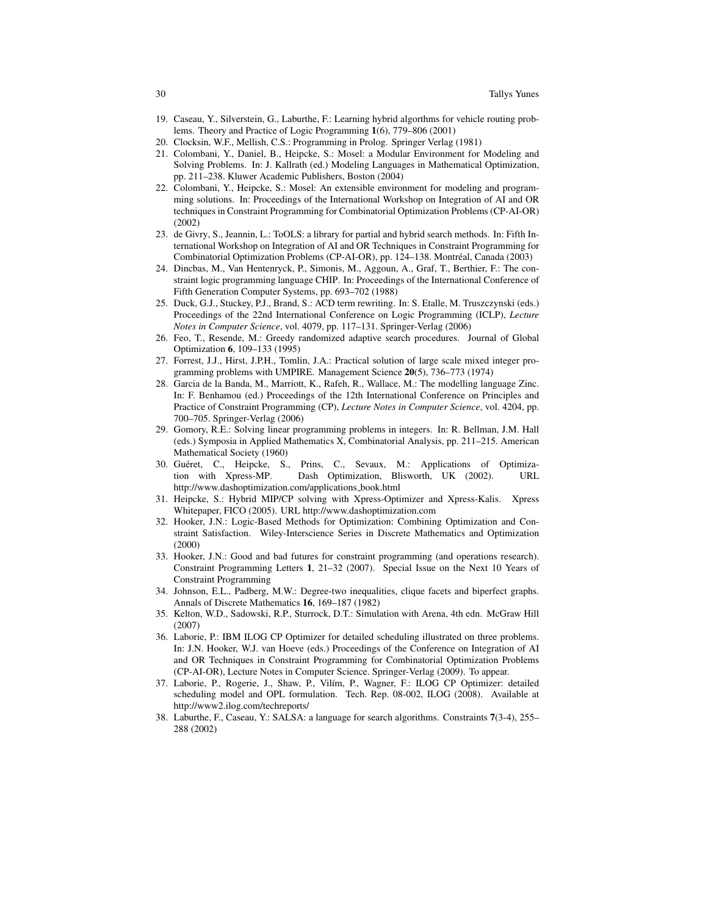- 19. Caseau, Y., Silverstein, G., Laburthe, F.: Learning hybrid algorthms for vehicle routing problems. Theory and Practice of Logic Programming 1(6), 779–806 (2001)
- 20. Clocksin, W.F., Mellish, C.S.: Programming in Prolog. Springer Verlag (1981)
- 21. Colombani, Y., Daniel, B., Heipcke, S.: Mosel: a Modular Environment for Modeling and Solving Problems. In: J. Kallrath (ed.) Modeling Languages in Mathematical Optimization, pp. 211–238. Kluwer Academic Publishers, Boston (2004)
- 22. Colombani, Y., Heipcke, S.: Mosel: An extensible environment for modeling and programming solutions. In: Proceedings of the International Workshop on Integration of AI and OR techniques in Constraint Programming for Combinatorial Optimization Problems (CP-AI-OR) (2002)
- 23. de Givry, S., Jeannin, L.: ToOLS: a library for partial and hybrid search methods. In: Fifth International Workshop on Integration of AI and OR Techniques in Constraint Programming for Combinatorial Optimization Problems (CP-AI-OR), pp. 124–138. Montreal, Canada (2003) ´
- 24. Dincbas, M., Van Hentenryck, P., Simonis, M., Aggoun, A., Graf, T., Berthier, F.: The constraint logic programming language CHIP. In: Proceedings of the International Conference of Fifth Generation Computer Systems, pp. 693–702 (1988)
- 25. Duck, G.J., Stuckey, P.J., Brand, S.: ACD term rewriting. In: S. Etalle, M. Truszczynski (eds.) Proceedings of the 22nd International Conference on Logic Programming (ICLP), *Lecture Notes in Computer Science*, vol. 4079, pp. 117–131. Springer-Verlag (2006)
- 26. Feo, T., Resende, M.: Greedy randomized adaptive search procedures. Journal of Global Optimization 6, 109–133 (1995)
- 27. Forrest, J.J., Hirst, J.P.H., Tomlin, J.A.: Practical solution of large scale mixed integer programming problems with UMPIRE. Management Science 20(5), 736–773 (1974)
- 28. Garcia de la Banda, M., Marriott, K., Rafeh, R., Wallace, M.: The modelling language Zinc. In: F. Benhamou (ed.) Proceedings of the 12th International Conference on Principles and Practice of Constraint Programming (CP), *Lecture Notes in Computer Science*, vol. 4204, pp. 700–705. Springer-Verlag (2006)
- 29. Gomory, R.E.: Solving linear programming problems in integers. In: R. Bellman, J.M. Hall (eds.) Symposia in Applied Mathematics X, Combinatorial Analysis, pp. 211–215. American Mathematical Society (1960)
- 30. Guéret, C., Heipcke, S., Prins, C., Sevaux, M.: Applications of Optimization with Xpress-MP. Dash Optimization, Blisworth, UK (2002). URL http://www.dashoptimization.com/applications\_book.html
- 31. Heipcke, S.: Hybrid MIP/CP solving with Xpress-Optimizer and Xpress-Kalis. Xpress Whitepaper, FICO (2005). URL http://www.dashoptimization.com
- 32. Hooker, J.N.: Logic-Based Methods for Optimization: Combining Optimization and Constraint Satisfaction. Wiley-Interscience Series in Discrete Mathematics and Optimization (2000)
- 33. Hooker, J.N.: Good and bad futures for constraint programming (and operations research). Constraint Programming Letters 1, 21–32 (2007). Special Issue on the Next 10 Years of Constraint Programming
- 34. Johnson, E.L., Padberg, M.W.: Degree-two inequalities, clique facets and biperfect graphs. Annals of Discrete Mathematics 16, 169–187 (1982)
- 35. Kelton, W.D., Sadowski, R.P., Sturrock, D.T.: Simulation with Arena, 4th edn. McGraw Hill (2007)
- 36. Laborie, P.: IBM ILOG CP Optimizer for detailed scheduling illustrated on three problems. In: J.N. Hooker, W.J. van Hoeve (eds.) Proceedings of the Conference on Integration of AI and OR Techniques in Constraint Programming for Combinatorial Optimization Problems (CP-AI-OR), Lecture Notes in Computer Science. Springer-Verlag (2009). To appear.
- 37. Laborie, P., Rogerie, J., Shaw, P., Vilím, P., Wagner, F.: ILOG CP Optimizer: detailed scheduling model and OPL formulation. Tech. Rep. 08-002, ILOG (2008). Available at http://www2.ilog.com/techreports/
- 38. Laburthe, F., Caseau, Y.: SALSA: a language for search algorithms. Constraints 7(3-4), 255– 288 (2002)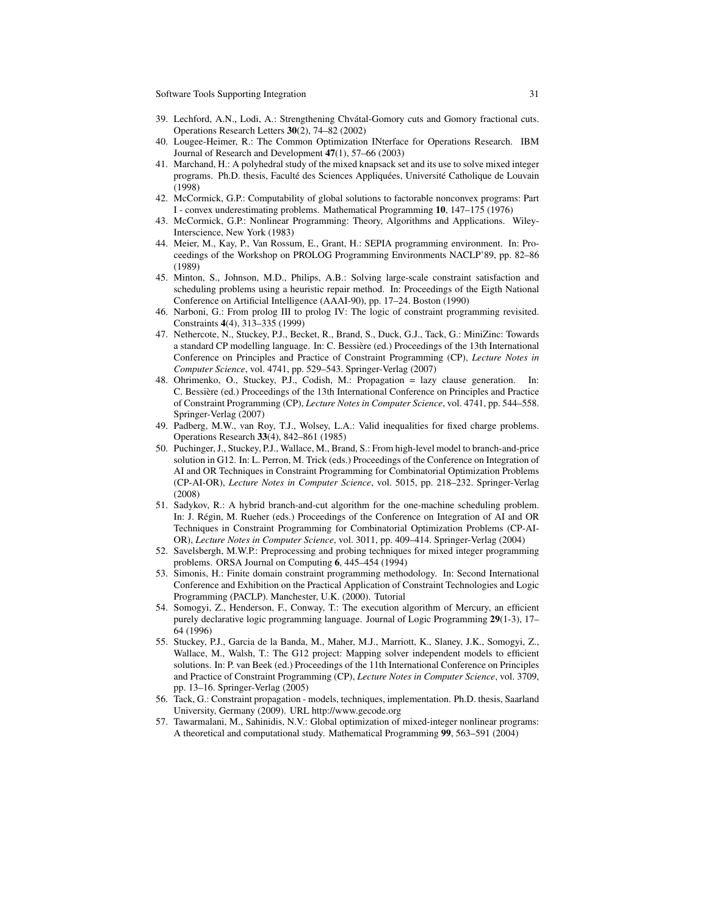- 39. Lechford, A.N., Lodi, A.: Strengthening Chvatal-Gomory cuts and Gomory fractional cuts. ´ Operations Research Letters 30(2), 74–82 (2002)
- 40. Lougee-Heimer, R.: The Common Optimization INterface for Operations Research. IBM Journal of Research and Development 47(1), 57–66 (2003)
- 41. Marchand, H.: A polyhedral study of the mixed knapsack set and its use to solve mixed integer programs. Ph.D. thesis, Faculté des Sciences Appliquées, Université Catholique de Louvain (1998)
- 42. McCormick, G.P.: Computability of global solutions to factorable nonconvex programs: Part I - convex underestimating problems. Mathematical Programming 10, 147–175 (1976)
- 43. McCormick, G.P.: Nonlinear Programming: Theory, Algorithms and Applications. Wiley-Interscience, New York (1983)
- 44. Meier, M., Kay, P., Van Rossum, E., Grant, H.: SEPIA programming environment. In: Proceedings of the Workshop on PROLOG Programming Environments NACLP'89, pp. 82–86 (1989)
- 45. Minton, S., Johnson, M.D., Philips, A.B.: Solving large-scale constraint satisfaction and scheduling problems using a heuristic repair method. In: Proceedings of the Eigth National Conference on Artificial Intelligence (AAAI-90), pp. 17–24. Boston (1990)
- 46. Narboni, G.: From prolog III to prolog IV: The logic of constraint programming revisited. Constraints 4(4), 313–335 (1999)
- 47. Nethercote, N., Stuckey, P.J., Becket, R., Brand, S., Duck, G.J., Tack, G.: MiniZinc: Towards a standard CP modelling language. In: C. Bessière (ed.) Proceedings of the 13th International Conference on Principles and Practice of Constraint Programming (CP), *Lecture Notes in Computer Science*, vol. 4741, pp. 529–543. Springer-Verlag (2007)
- 48. Ohrimenko, O., Stuckey, P.J., Codish, M.: Propagation = lazy clause generation. In: C. Bessiere (ed.) Proceedings of the 13th International Conference on Principles and Practice ` of Constraint Programming (CP), *Lecture Notes in Computer Science*, vol. 4741, pp. 544–558. Springer-Verlag (2007)
- 49. Padberg, M.W., van Roy, T.J., Wolsey, L.A.: Valid inequalities for fixed charge problems. Operations Research 33(4), 842–861 (1985)
- 50. Puchinger, J., Stuckey, P.J., Wallace, M., Brand, S.: From high-level model to branch-and-price solution in G12. In: L. Perron, M. Trick (eds.) Proceedings of the Conference on Integration of AI and OR Techniques in Constraint Programming for Combinatorial Optimization Problems (CP-AI-OR), *Lecture Notes in Computer Science*, vol. 5015, pp. 218–232. Springer-Verlag (2008)
- 51. Sadykov, R.: A hybrid branch-and-cut algorithm for the one-machine scheduling problem. In: J. Régin, M. Rueher (eds.) Proceedings of the Conference on Integration of AI and OR Techniques in Constraint Programming for Combinatorial Optimization Problems (CP-AI-OR), *Lecture Notes in Computer Science*, vol. 3011, pp. 409–414. Springer-Verlag (2004)
- 52. Savelsbergh, M.W.P.: Preprocessing and probing techniques for mixed integer programming problems. ORSA Journal on Computing 6, 445–454 (1994)
- 53. Simonis, H.: Finite domain constraint programming methodology. In: Second International Conference and Exhibition on the Practical Application of Constraint Technologies and Logic Programming (PACLP). Manchester, U.K. (2000). Tutorial
- 54. Somogyi, Z., Henderson, F., Conway, T.: The execution algorithm of Mercury, an efficient purely declarative logic programming language. Journal of Logic Programming 29(1-3), 17– 64 (1996)
- 55. Stuckey, P.J., Garcia de la Banda, M., Maher, M.J., Marriott, K., Slaney, J.K., Somogyi, Z., Wallace, M., Walsh, T.: The G12 project: Mapping solver independent models to efficient solutions. In: P. van Beek (ed.) Proceedings of the 11th International Conference on Principles and Practice of Constraint Programming (CP), *Lecture Notes in Computer Science*, vol. 3709, pp. 13–16. Springer-Verlag (2005)
- 56. Tack, G.: Constraint propagation models, techniques, implementation. Ph.D. thesis, Saarland University, Germany (2009). URL http://www.gecode.org
- 57. Tawarmalani, M., Sahinidis, N.V.: Global optimization of mixed-integer nonlinear programs: A theoretical and computational study. Mathematical Programming 99, 563–591 (2004)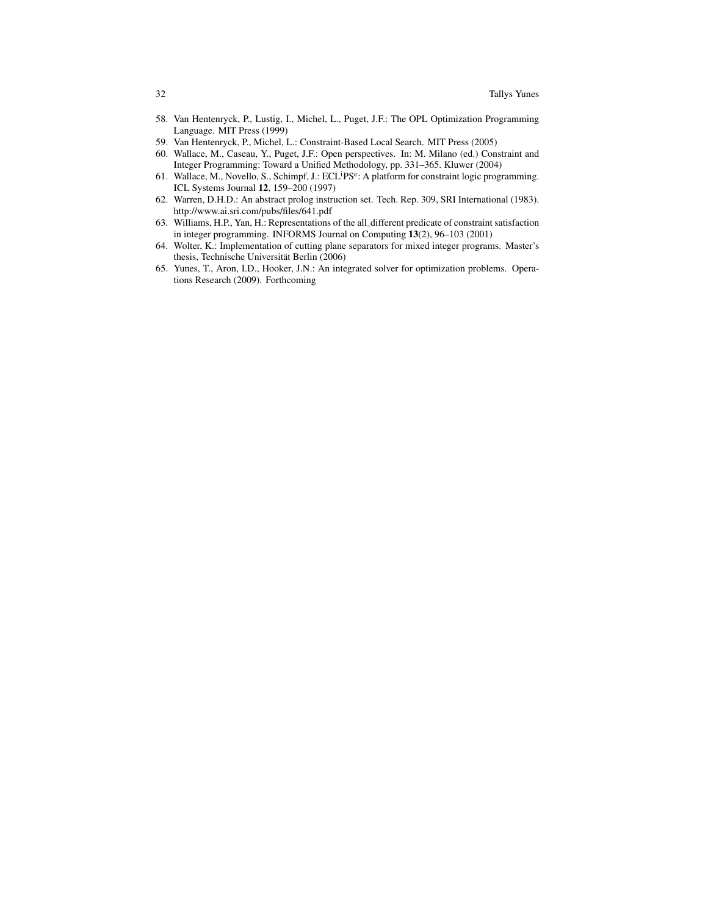- 58. Van Hentenryck, P., Lustig, I., Michel, L., Puget, J.F.: The OPL Optimization Programming Language. MIT Press (1999)
- 59. Van Hentenryck, P., Michel, L.: Constraint-Based Local Search. MIT Press (2005)
- 60. Wallace, M., Caseau, Y., Puget, J.F.: Open perspectives. In: M. Milano (ed.) Constraint and Integer Programming: Toward a Unified Methodology, pp. 331–365. Kluwer (2004)
- 61. Wallace, M., Novello, S., Schimpf, J.: ECL<sup>i</sup>PS<sup>e</sup>: A platform for constraint logic programming. ICL Systems Journal 12, 159–200 (1997)
- 62. Warren, D.H.D.: An abstract prolog instruction set. Tech. Rep. 309, SRI International (1983). http://www.ai.sri.com/pubs/files/641.pdf
- 63. Williams, H.P., Yan, H.: Representations of the all different predicate of constraint satisfaction in integer programming. INFORMS Journal on Computing 13(2), 96–103 (2001)
- 64. Wolter, K.: Implementation of cutting plane separators for mixed integer programs. Master's thesis, Technische Universität Berlin (2006)
- 65. Yunes, T., Aron, I.D., Hooker, J.N.: An integrated solver for optimization problems. Operations Research (2009). Forthcoming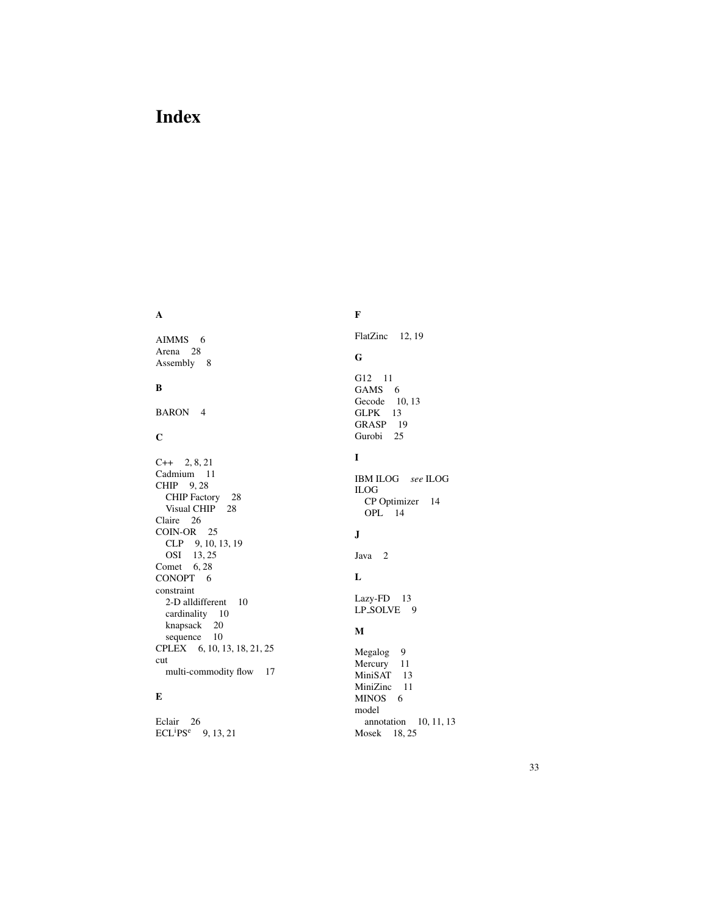# Index

# A

AIMMS 6 Arena 28 Assembly 8

# B

BARON 4

## C

C++ 2, 8, 21 Cadmium 11 CHIP 9, 28 CHIP Factory 28 Visual CHIP 28 Claire 26 COIN-OR 25 CLP 9, 10, 13, 19 OSI 13, 25 Comet 6, 28 CONOPT 6 constraint 2-D alldifferent 10 cardinality 10 knapsack 20 sequence 10 CPLEX 6, 10, 13, 18, 21, 25 cut multi-commodity flow 17

# E

Eclair 26  $ECL$ <sup>i</sup>PS<sup>e</sup> 9, 13, 21

# F

FlatZinc 12, 19

#### G

G12 11 GAMS 6 Gecode 10, 13 GLPK 13 GRASP 19 Gurobi 25

## I

IBM ILOG *see* ILOG ILOG CP Optimizer 14 OPL 14

## J

Java 2

#### L

Lazy-FD 13 LP\_SOLVE 9

#### M

Megalog 9 Mercury 11 MiniSAT 13 MiniZinc 11 MINOS<sub>6</sub> model annotation 10, 11, 13 Mosek 18, 25